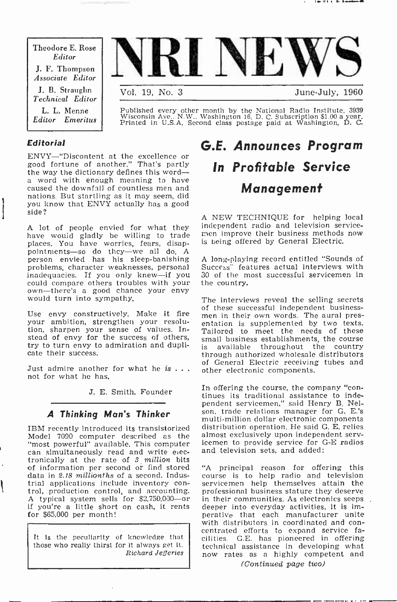Theodore E. Rose Editor J. F. Thompson Associate Editor J. B. Straughn Technical Editor L. L. Menne Editor Emeritus



Published every other month by the National Radio Institute, 3939 Wisconsin Ave.. N.W., Washington 16, D. C. Subscription \$1.00 a year. Printed in U.S.A. Second class postage paid at Washington, D. C.

#### Editorial

ENVY-"Discontent at the excellence or good fortune of another." That's partly the way the dictionary defines this word- a word with enough meaning to have caused the downfall of countless men and nations. But startling as it may seem, did you know that  $ENV\bar{Y}$  actually has a good side?

A lot of people envied for what they independent radio and television service-<br>have would gladly be willing to trade men improve their business methods now<br>places. You have worries, fears, disan, is being offered by Genera places. You have worries, fears, disap-<br>pointments-so do they-we all do. A person envied has his sleep-banishing<br>problems, character weaknesses, personal<br>inadequacies. If you only knew—if you<br>could compare others troubles with your own-there's a good chance your envy would turn into sympathy.

your ambition, strengthen your resolution, sharpen your sense of values. In-<br>stead of envy for the success of others,  $\begin{array}{c} \rm{cm} \\ \rm{sm} \end{array}$ try to turn envy to admiration and duplicate their success.

Just admire another for what he is  $\dots$  not for what he has.

J. E. Smith, Founder

#### A Thinking Man's Thinker

IBM recently introduced its transistorized Model 7090 computer described as the almost-exclusively-upon-independent-serv-<br>"most-nowerful" available This-computer - icemen to provide service for G-E radios "most powerful" available. This computer<br>can simultaneously read and write electronically at the rate of  $\beta$  million bits<br>of information per second or find stored "A principal reason for offering this of information per second or find stored data in 2.18 millionths of a second. Indus-A typical system sells for \$2,750,000-or if you're a little short on cash, it rents for \$65,000 per month!

It is the peculiarity of knowledge that those who really thirst for it always get it.

### G.E. Announces Program In Profitable Service Management

A NEW TECHNIQUE for helping local independent radio and television service-

A long-playing record entitled "Sounds of Success" features actual interviews with 30 of the most successful servicemen in the country.

of these successful independent business-<br>Use envy constructively. Make it fire men in their own words. The aural pres-The interviews reveal the selling secrets entation is supplemented by two texts. Tailored to meet the needs of these small business establishments, the course is available throughout the country through authorized wholesale distributors of General Electric receiving tubes and other electronic components.

> In offering the course, the company "continues its traditional assistance to independent servicemen," said Henry B. Nelson, trade relations manager for G. E.'s distribution operation. He said G. E. relies almost exclusively upon independent servand television sets, and added:

trial applications include inventory con-<br>trol, production control, and accounting. professional business stature they deserve<br>A typical system sells for \$2,750,000—or in their communities. As electronics seeps Richard Jefferies now rates as a highly competent and course is to help radio and television servicemen help themselves attain the professional business stature they deserve deeper into everyday activities, it is imperative that each manufacturer unite<br>with distributors in coordinated and conwith distributors in coordinated and con- centrated efforts to expand service facilities. G.E. has pioneered in offering technical assistance in developing what (Continued page two)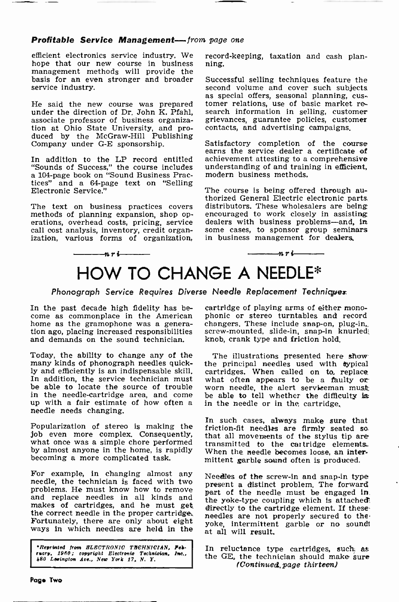#### Profitable Service Management-from page one

efficient electronics service industry. We recor<br>hope that our new course in business ning. hope that our new course in business management methods will provide the basis for an even stronger and broader Successful selling techniques feature the service industry. service industry.

associate professor of business organization at Ohio State University, and produced by the McGraw-Hill Publishing<br>Company under G-E sponsorship.

In addition to the LP record entitled achievement attesting to a comprehensive "Sounds of Success." the course includes understanding of and training in efficient. "Sounds of Success," the course includes a 104 -page book on "Sound Business Practices" and a 64-page text on "Selling Electronic Service."

call cost analysis, inventory, credit organ-<br>ization, various forms of organization,

 $-nr$  i

record-keeping, taxation and cash plan-

He said the new course was prepared tomer relations, use of basic market re-<br>under the direction of Dr. John K. Pfahl, search information in selling, customer<br>associate professor of business organiza- grievances, guarantee Successful selling techniques feature the as special offers, seasonal planning, cussearch information in selling, customer grievances, guarantee policies, customer contacts, and advertising campaigns.

> Satisfactory completion of the course earns the service dealer a certificate of achievement attesting to a comprehensive modern business methods.

The text on business practices covers distributors. These wholesalers are being methods of planning expansion, shop op- encouraged to work closely in assisting erations, overhead costs, pricing, service dealers with busine The course is being offered through authorized General Electric electronic parts.<br>distributors. These wholesalers are being<br>encouraged to work closely in assisting<br>dealers with business problems—and, in<br>some cases, to spon in business management for dealers.

-n r i

## HOW TO CHANGE A NEEDLE\*

Phonograph Service Requires Diverse Needle Replacement Techniquex

Today, the ability to change any of the The illustrations presented here show many kinds of phonograph needles quick- the principal needles used with typical ly and efficiently is an indispensable skill. cartridges. When called on to replace In addition, the service technician must what often appears to be a faulty or In addition, the service technician must what often appears to be a faulty or be able to locate the source of trouble worn needle, the alert serviceman must be able to locate the source of trouble in the needle -cartridge area, and come up with a fair estimate of how often a needle needs changing.

Popularization of stereo is making the friction-fit needles are firmly seated so. job even more complex. Consequently, what once was a simple chore performed by almost anyone in the home, is rapidly becoming a more complicated task.

For example, in changing almost any needle, the technician is faced with two problems. He must know how to remove and replace needles in all kinds and  $\frac{p}{th}$ makes of cartridges, and he must get.<br>the correct needle in the proper cartridge.<br>Fortunately, there are only about eight  $\frac{1}{100}$ Fortunately, there are only about eight ways in which needles are held in the

\*Reprinted from HLECTRONIO THCHNICIAN, Feb-<br>ruary, 1980; copyright Electronic Technician, Inc.,<br>480 Lesington doe., New York 17, N. Y.

In the past decade high fidelity has be- cartridge of playing arms of either mono-<br>come as commonplace in the American phonic or stereo turntables and record home as the gramophone was a genera-<br>tion ago, placing increased responsibilities screw-mounted, slide-in, snap-in knurled<br>and demands on the sound technician. knob, crank type and friction hold. cartridge of playing arms of either monochangers. These include snap-on, plug-in, knob, crank type and friction hold.

> The illustrations presented here show cartridges. When called on to, replace be able to tell whether the difficulty is in the needle or in the cartridge.

> In such cases, always make sure that that all movements of the stylus tip are transmitted to the cartridge elements.. When the needle becomes loose, an intermittent garble sound often is produced.

> Needles of the screw-in and snap-in type present a distinct problem. The forward part of the needle must be engaged In. the yoke-type coupling which is attached! directly to the cartridge element. If these-<br>needles are not properly secured to theyoke, intermittent garble or no sound! at all will result.

> In reluctance type cartridges, such as the GE, the technician should make sure (Continued, page thirteen)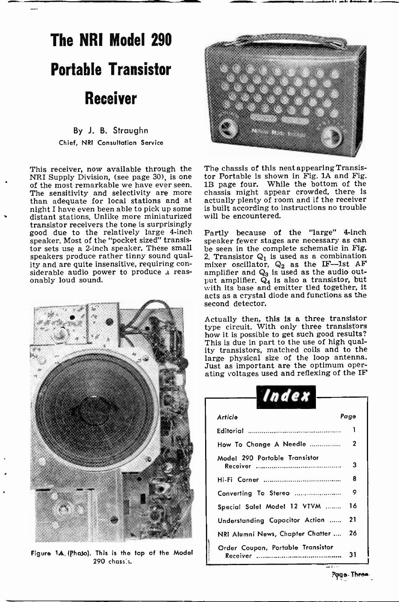## The NRI Model 290 Portable Transistor Receiver

#### By J. B. Straughn Chief, NRI Consultation Service

This receiver, now available through the NRI Supply Division, (see page 30), is one of the most remarkable we have ever seen.<br>The sensitivity and selectivity are more<br>than adequate for local stations and at<br>night I have even been able to pick up some distant stations. Unlike more miniaturized transistor receivers the tone is surprisingly good due to the relatively large 4-inch<br>speaker, Most of the "pocket sized" transis-<br>speaker fewer stages are necessary as can speaker. Most of the "pocket sized" transistor sets use a 2 -inch speaker. These small speakers produce rather tinny sound quality and are quite insensitive, requiring con- siderable audio power to produce a reas- onably loud sound.



Figure 1A. (Phaso). This is the top of the Model 290 chass'c.



The chassis of this neat appearing Transistor Portable is shown in Fig. IA and Fig. lB page four. While the bottom of the chassis might appear crowded, there is actually plenty of room and if the receiver is built according to instructions no trouble will be encountered.

Partly because of the "large" 4-inch be seen in the complete schematic in Fig. 2. Transistor  $Q_1$  is used as a combination mixer oscillator,  $Q_2$  as the IF-1st AF amplifier and  $Q_3$  is used as the audio output amplifier.  $Q_4$  is also a transistor, but with its base and emitter tied together, it acts as a crystal diode and functions as the second detector.

Actually then, this is a three transistor type circuit. With only three transistors how it is possible to get such good results? This is due in part to the use of high quality transistors, matched coils and to the large physical size of the loop antenna. Just as important are the optimum operating voltages used and reflexing of the IF

| Index                                                    |             |
|----------------------------------------------------------|-------------|
| Article                                                  | Page        |
|                                                          | 1           |
| How To Change A Needle                                   | $\mathbf 2$ |
| Model 290 Portable Transistor                            | 3           |
|                                                          | 8           |
| Converting To Stereo                                     | ۰           |
| Special Sale! Model 12 VTVM                              | 16          |
| Understanding Capacitor Action                           | 21          |
| NRI Alumni News, Chapter Chatter                         | 26          |
| Order Coupon, Portable Transistor<br>Receiver<br><b></b> | 31          |

Page- Th<del>ro</del>e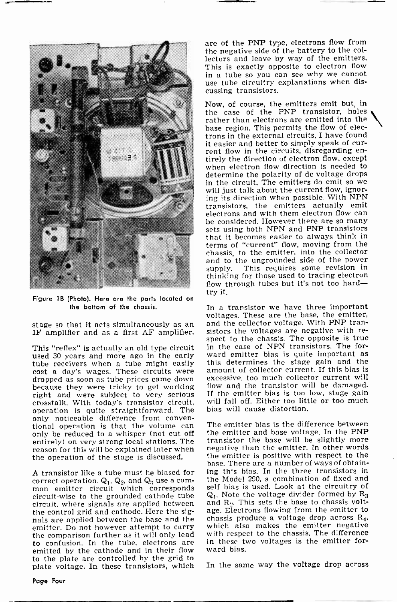

Figure 1B (Photo). Here are the parts located on the bottom of the chassis.

This "reflex" is actually an old type circuit<br>used 30 years and more ago in the early tube receivers when a tube might easily this determines the stage gain and the cost a day's wages. These circuits were dropped as soon as tube prices came down right and were subject to very serious crosstalk. With today's transistor circuit, operation is quite straightforward. The only noticeable difference from conventional operation is that the volume can only be reduced to a whisper (not cut off entirely) on very strong local stations. The transistor the base will be slightly more<br>reason for this will be explained later when thegative than the emitter. In other words reason for this will be explained later when the operation of the stage is discussed.

A transistor like a tube must he biased for correct operation.  $Q_1$ ,  $Q_2$ , and  $Q_3$  use a common emitter circuit which corresponds circuit -wise to the grounded cathode tube circuit, where signals are applied between the control grid and cathode. Here the signals are applied between the base and the the comparison further as it will only lead to confusion. In the tube, electrons are emitted by the cathode and in their flow to the plate are controlled by the grid to plate voltage. In these transistors, which are of the PNP type, electrons flow from the negative side of the battery to the collectors and leave by way of the emitters. This is exactly opposite to electron flow in a tube so you can see why we cannot use tube circuitry explanations when discussing transistors.

Now, of course, the emitters emit but, in the case of the PNP transistor, holes rather than electrons are emitted into the base region. This permits the flow of electrons in the external circuits. I have found it easier and better to simply speak of cur-<br>rent flow in the circuits, disregarding en-<br>tirely the direction of electron flow, except when electron flow direction is needed to determine the polarity of dc voltage drops<br>in the circuit. The emitters do emit so we will just talk about the current flow, ignoring its direction when possible. With NPN transistors, the emitters actually emit electrons and with them electron flow can be considered. However there are so many sets using both NPN and PNP transistors that it becomes easier to always think in terms of "current" flow, moving from the chassis, to the emitter, into the collector and to the ungrounded side of the power<br>supply. This requires some revision in This requires some revision in thinking for those used to tracing electron flow through tubes but it's not too hardtry it.

stage so that it acts simultaneously as an and the collector voltage. With PNP tran-<br>IF amplifier and as a first AF amplifier. sistors the voltages are negative with re-<br>spect to the chassis. The opposite is true In a transistor we have three important voltages. These are the base, the emitter, and the collector voltage. With PNP transistors the voltages are negative with rein the case of NPN transistors. The forward emitter bias is quite important as amount of collector current. If this bias is excessive. too much collector current will flow and the transistor will be damaged. If the emitter bias is too low, stage gain will fall off. Either too little or too much bias will cause distortion.

> The emitter bias is the difference between the emitter and base voltage. In the PNP transistor the base will be slightly more the emitter is positive with respect to the base. There are a number of ways of obtaining this bias. In the three transistors in the Model 290, a combination of fixed and self bias is used. Look at the circuitry of  $Q_1$ . Note the voltage divider formed by  $R_3$ and Ro. This sets the base to chassis voltage. Electrons flowing from the emitter to chassis produce a voltage drop across R4, which also makes the emitter negative with respect to the chassis. The difference in these two voltages is the emitter forward bias.

In the same way the voltage drop across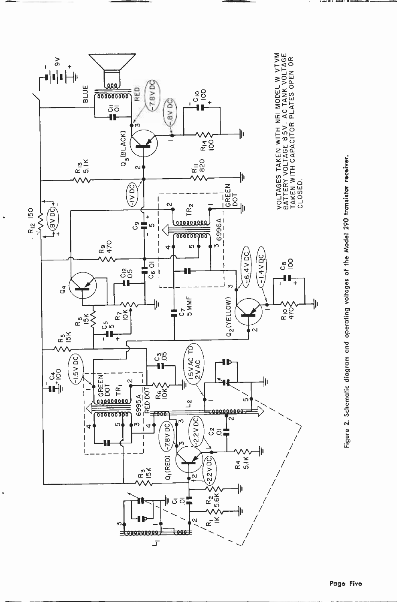

 $\bullet$ 

Figure 2. Schematic diagram and operating voltages of the Model 290 transistor receiver.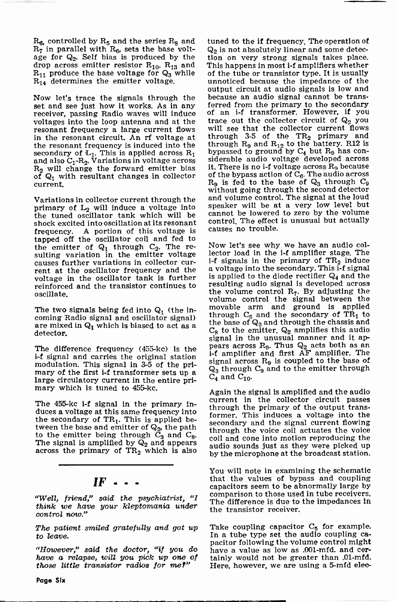$R_6$ , controlled by  $R_5$  and the series  $R_8$  and  $R_7$  in parallel with  $R_6$ , sets the base voltage for  $Q_2$ . Self bias is produced by the tion on very strong signals takes place.<br>drop across emitter resistor  $R_{10}$ .  $R_{13}$  and This happens in most i-f amplifiers whether drop across emitter resistor  $R_{10}$ .  $R_{13}$  and  $R_{11}$  produce the base voltage for  $Q_3$  while  $R_{14}$  determines the emitter voltage.

Now let's trace the signals through the set and see just how it works. As in any receiver, passing Radio waves will induce voltages into the loop antenna and at the resonant frequency a large current flows in the resonant circuit. An rf voltage at the resonant frequency is induced into the secondary of  $L_1$ . This is applied across  $R_1$  by by and also  $C_1$ - $R_2$ . Variations in voltage across sid  $R_2$  will change the forward emitter bias it. There is no i-f voltage across  $R_9$  because of  $Q_1$  with resultant changes in collector current.

Variations in collector current through the primary of  $L_2$  will induce a voltage into the tuned oscillator tank which will be shock excited into oscillation at its resonant control. The effect frequency  $\Lambda$  portion of this voltage is causes no trouble. frequency. A portion of this voltage is tapped off the oscillator coil and fed to the emitter of  $Q_1$  through  $C_2$ . The re-<br>sulting variation in the emitter voltage lector load in the i-f amplifier stage. The<br>causes further variations in collector cur-<br>i-f signals in the primary of TR<sub>2</sub> induce rent at the oscillator frequency and the voltage in the oscillator tank is further reinforced and the transistor continues to resulting audio signal is developed across<br>oscillate the volume control R<sub>7</sub>. By adjusting the oscillate.

The two signals being fed into  $Q_1$  (the incoming Radio signal and oscillator signal) are mixed in  $Q_1$  which is biased to act as a detector.

The difference frequency (455-kc) is the <sup>i</sup>-f signal and carries the original station modulation. This signal in 3-5 of the pri-<br>mary of the first i-f transformer sets up a large circulatory current in the entire primary which is tuned to 455-kc.

The 455-kc i-f signal in the primary induces a voltage at this same frequency into the secondary of  $TR<sub>1</sub>$ . This is applied bethe secondary of  $H_1$ . This is applied be secondary and the signal current flowing<br>tween the base and emitter of  $Q_2$ , the path the poice coll actuates the voice to the emitter being through  $\tilde{C}_3$  and  $C_8$ . The signal is amplified by  $\overline{Q}_2$  and appears conservation across the primary of TR<sub>2</sub> which is also by

#### $IF$  .

"Well, friend," said the psychiatrist, "I think we have your kleptomania under control now."

The patient smiled gratefully and got up Take coupling capacitor  $C_5$  for example.<br>to leave. In a tube type set the audio coupling cato leave.

"However," said the doctor, "if you do have a value as low as .001-mfd. and cer-<br>have a relapse, will you pick up one of tainly would not be greater than .01-mfd. have a relapse, will you pick up one of those little transistor radios for me?"

tuned to the if frequency. The operation of  $Q_2$  is not absolutely linear and some detection on very strong signals takes place. of the tube or transistor type. It is usually unnoticed because the impedance of the output circuit at audio signals is low and because an audio signal cannot be transferred from the primary to the secondary<br>of an i-f transformer. However, if you trace out the collector circuit of  $\mathsf{Q}_2$  you will see that the collector current flows through 3-5 of the TR<sub>2</sub> primary and<br>through R<sub>9</sub> and R<sub>12</sub> to the battery. R12 is<br>bypassed to ground by C<sub>4</sub> but R<sub>9</sub> has con-<br>siderable audio voltage developed across<br>it. There is no i-f voltage across R<sub>9</sub> because of the bypass action of  $C_6$ . The audio across  $R_9$  is fed to the base of  $Q_3$  through  $C_9$ without going through the second detector and volume control. The signal at the loud speaker will be at a very low level but cannot be lowered to zero by the volume control. The effect is unusual but actually

Now let's see why we have an audio collector load in the i-f amplifier stage. The a voltage into the secondary. This i-f signal is applied to the diode rectifier  $Q_4$  and the resulting audio signal is developed across volume control the signal between the<br>movable arm and ground is applied through  $C_5$  and the secondary of TR<sub>1</sub> to the base of  $Q_2$  and through the chassis and  $C_8$  to the emitter.  $Q_2$  amplifies this audio signal in the unusual manner and it apbears across  $R_9$ . Thus  $Q_2$  acts both as an i-f amplifier and first AF amplifier. The signal across  $R_9$  is coupled to the base of  $\mathsf{Q}_{3}$  through  $\mathsf{C}_{9}$  and to the emitter through  $C_4$  and  $C_{10}$ .

Again the signal is amplified and the audio<br>current in the collector circuit passes through the primary of the output transformer. This induces a voltage into the through the voice coil actuates the voice coil and cone into motion reproducing the audio sounds just as they were picked up by the microphone at the broadcast station.

You will note in examining the schematic that the values of bypass and coupling capacitors seem to be abnormally large by comparison to those used in tube receivers. The difference is due to the impedances in the transistor receiver.

Take coupling capacitor  $C_5$  for example. pacitor following the volume control might Here, however, we are using a 5-mfd eleo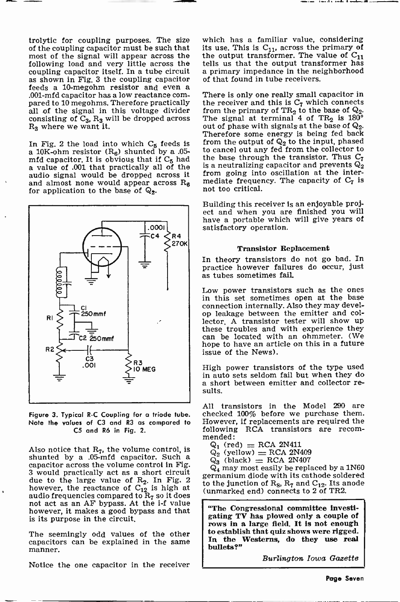pared to 10 megohms. Therefore practically all of the signal in this voltage divider consisting of  $C_3$ ,  $R_3$  will be dropped across R<sub>3</sub> where we want it.

In Fig. 2 the load into which  $C_5$  feeds is a 10K-ohm resistor  $(R_6)$  shunted by a .05mfd capacitor. It is obvious that if  $C_5$  had a value of .001 that practically all of the audio signal would be dropped across it and almost none would appear across  $R_A$ for application to the base of  $\mathbb{Q}_2$ .



Figure 3. Typical R -C Coupling for a triode tube. Note the values of C3 and R3 as compared to C5 and R6 in Fig. 2.

Also notice that  $R_7$ , the volume control, is shunted by a .05-mfd capacitor. Such a capacitor across the volume control in Fig. 3 would practically act as a short circuit due to the large value of  $R_2$ . In Fig. 2<br>however, the reactance of  $C_{12}$  is high at audio frequencies compared to  $R_7$  so it does not act as an AF bypass. At the i-f value however, it makes a good bypass and that is its purpose in the circuit.

The seemingly odd values of the other  $\begin{array}{|l|l|}$  to establish that quiz shows were rigged.<br>Capacitors can be explained in the same  $\begin{array}{|l|} \hline \end{array}$  In the Westerns, do they use real capacitors can be explained in the same manner.

Notice the one capacitor in the receiver

its use. This is  $C_{11}$ , across the primary of the output transformer. The value of  $C_{11}$ tells us that the output transformer has a primary impedance in the neighborhood of that found in tube receivers.

There is only one really small capacitor in the receiver and this is  $C_7$  which connects from the primary of  $TR_2$  to the base of  $Q_2$ . The signal at terminal 4 of  $TR_2$  is  $180^\circ$  out of phase with signals at the base of  $Q_2$ . Therefore some energy is being fed back from the output of  $\mathbb{Q}_2$  to the input, phased to cancel out any fed from the collector to the base through the transistor. Thus  $C_7$ is a neutralizing capacitor and prevents  $Q_2$ from going into oscillation at the intermediate frequency. The capacity of  $C_7$  is not too critical.

Building this receiver is an enjoyable project and when you are finished you will have a portable which will give years of satisfactory operation.

#### Transistor Replacement

In theory transistors do not go bad. In practice however failures do occur, just as tubes sometimes fail.

Low power transistors such as the ones in this set sometimes open at the base connection internally. Also they may develop leakage between the emitter and collector. A transistor tester will show up these troubles and with experience they can be located with an ohmmeter. (We hope to have an article on this in a future issue of the News).

High power transistors of the type used in auto sets seldom fail but when they do a short between emitter and collector re- sults.

All transistors in the Model 290 are checked 100% before we purchase them. However, if replacements are required the following RCA transistors are recom- mended:

- $Q_1$  (red) = RCA 2N411
- $Q_2^{\dagger}$  (yellow) = RCA 2N409
- $Q_3$  (black) = RCA 2N407

 $Q_4$  may most easily be replaced by a 1N60 germanium diode with its cathode soldered to the junction of  $R_8$ ,  $R_7$  and  $C_{12}$ . Its anode (unmarked end) connects to 2 of TR2.

"The Congressional committee investigating TV has plowed only a couple of rows in a large field. It is not enough to establish that quiz shows were rigged. bullets?"

Burlington Iowa Gazette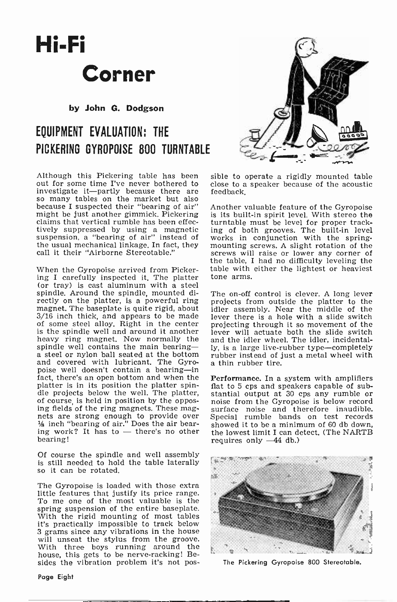## Hi-Fi Corner

by John G. Dodgson

### EQUIPMENT EVALUATION: THE PICKERING GYROPOISE 800 TURNTABLE

Although this Pickering table has been out for some time I've never bothered to investigate it-partly because there are so many tables on the market but also because I suspected their "bearing of air"<br>might be just another gimmick, Pickering claims that vertical rumble has been effectively suppressed by using a magnetic sing of both grooves. The built-in level<br>suspension, a "bearing of air" instead of works in conjunction with the spring-<br>the usual mechanical linkage. In fact, they mounting screws. A the usual mechanical linkage. In fact, they call it their "Airborne Stereotable."

When the Gyropoise arrived from Pickering I carefully inspected it. The platter tone arms.<br>(or tray) is cast aluminum with a steel spindle. Around the spindle, mounted directly on the platter, is a powerful ring magnet. The baseplate is quite rigid, about 3/16 inch thick, and appears to be made of some steel alloy. Right in the center is the spindle well and around it another heavy ring magnet. Now normally the spindle well contains the main bearing-  $y$ , is a large live-rubber type-completely a steel or nylon ball seated at the bottom rubber instead of just a metal wheel with and covered with lubricant. The Gyro-<br>poise well doesn't contain a bearing-in<br>fact, there's an open bottom and when the **Performance**. In a system with amplifiers platter is in its position the platter spin-<br>dle projects below the well. The platter,<br>of course, is held in position by the opposing fields of the ring magnets. These magnets are strong enough to provide over hets are strong enough to provide over<br>  $\frac{1}{2}$  inch "bearing of air." Does the air bear-<br>
ing work? It has to — there's no other the bearing!

Of course the spindle and well assembly is still needed to hold the table laterally so it can be rotated.

The Gyropoise is loaded with those extra little features that justify its price range. To me one of the most valuable is the spring suspension of the entire baseplate. With the rigid mounting of most tables it's practically impossible to track below 3 grams since any vibrations in the house will unseat the stylus from the groove.<br>With three boys running around the house, this gets to be nerve-racking! Besides the vibration problem it's not pos-



sible to operate a rigidly mounted table close to a speaker because of the acoustic feedback.

Another valuable feature of the Gyropoise is its built-in spirit level. With stereo the turntable must be level for proper tracking of both grooves. The built-in level works in conjunction with the spring-<br>mounting screws. A slight rotation of the<br>screws will raise or lower any corner of<br>the table, I had no difficulty leveling the table with either the lightest or heaviest

The on-off control is clever. A long lever projects from outside the platter to the idler assembly. Near the middle of the lever there is a hole with a slide switch projecting through it so movement of the lever will actuate both the slide switch and the idler wheel. The idler, incidentally, is a large live-rubber type-completely

flat to 5 cps and speakers capable of substantial output at 30 cps any rumble or noise from the Gyropoise is below record surface noise and therefore inaudible. Special rumble bands on test records showed it to be a minimum of 60 db down, the lowest limit I can detect. (The NARTB requires only  $-44$  db.)



The Pickering Gyropoise 800 Stereotable.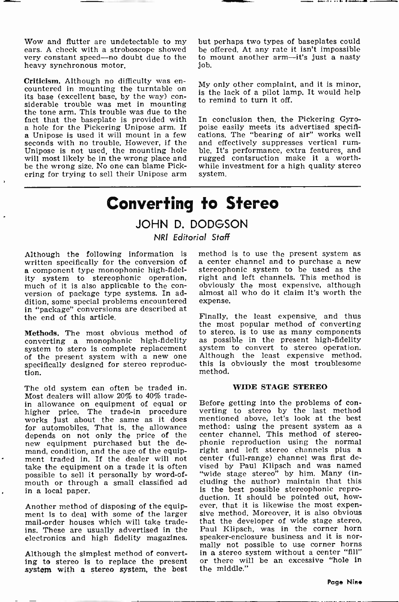Wow and flutter are undetectable to my ears. A check with a stroboscope showed very constant speed-no doubt due to the heavy synchronous motor.

Criticism. Although no difficulty was en-<br>
countered in mounting the turntable on<br>
its base (excellent base, by the way) con-<br>
siderable trouble was met in mounting to remind to turn it off.<br>
the tone arm. This trouble was a hole for the Pickering Unipose arm. If poise easily meets its advertised specifi-<br>a Unipose is used it will mount in a few cations. The "bearing of air" works well<br>seconds with no trouble. However, if the and effectively seconds with no trouble. However, if the Unipose is not used, the mounting hole will most likely be in the wrong place and be the wrong size. No one can blame Pickering for trying to sell their Unipose arm

but perhaps two types of baseplates could be offered. At any rate it isn't impossible to mount another arm-it's just a nasty job.

My only other complaint, and it is minor, is the lack of a pilot lamp. It would help to remind to turn it off.

cations. The "bearing of air" works well ble. It's performance, extra features, and rugged contsruction make it a worthwhile investment for a high quality stereo system.

## Converting to Stereo

#### JOHN D. DODGSON NRI Editorial Staff

written specifically for the conversion of<br>a component type monophonic high-fidel-<br>ity system to stereophonic operation, much of it is also applicable to the con-<br>version of package type systems. In addition, some special problems encountered exp<br>in "package" conversions are described at the end of this article.

Methods. The most obvious method of converting a monophonic high-fidelity system to stero is complete replacement system to convert to stereo operation.<br>of the present system with a new one Although the least expensive method, of the present system with a new one specifically designed for stereo reproduction.

The old system can often be traded in. Most dealers will allow 20% to 40% tradein allowance on equipment of equal or Before getting into the problems of con-<br>higher price. The trade-in procedure verting to stereo by the last method works just about the same as it does mentioned above, let's look at the best<br>for automobiles. That is, the allowance method: using the present system as a for automobiles. That is, the allowance<br>depends on not only the price of the new equipment purchased but the demand, condition, and the age of the equipment traded in. If the dealer will not center (full-range) channel was first detake the equipment on a trade it is often possible to sell it personally by word-ofmouth or through a small classified ad in a local paper.

Another method of disposing of the equipment is to deal with some of the larger mail-order houses which will take tradeins. These are usually advertised in the

Although the simplest method of converting to stereo is to replace the present or there will be an excessive "hole in system with a stereo system, the best

Although the following information is method is to use the present system as a center channel and to purchase a new stereophonic system to be used as the right and left channels. This method is obviously the most expensive, although almost all who do it claim it's worth the expense.

> Finally, the least expensive, and thus the most popular method of converting<br>to stereo, is to use as many components as possible in the present high-fidelity system to convert to stereo operation. this is obviously the most troublesome method.

#### WIDE STAGE STEREO

electronics and high fidelity magazines. speaker-enclosure business and it is nor-<br>mally not possible to use corner horns verting to stereo by the last method mentioned above, let's look at the best center channel. This method of stereophonic reproduction using the normal right and left stereo channels plus a center (full -range) channel was first devised by Paul Klipsch and was named "wide stage stereo" by him. Many (in-cluding the author) maintain that this is the best possible stereophonic reproduction. It should be pointed out, however, that it is likewise the most expensive method. Moreover, it is also obvious that the developer of wide stage stereo, Paul Klipsch, was in the corner horn speaker-enclosure business and it is norin a stereo system without a center "fill" the middle."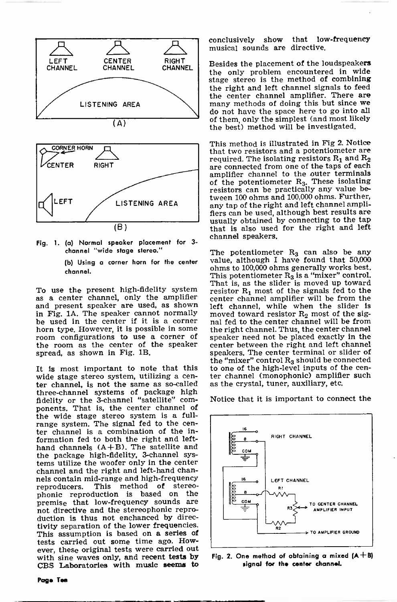



Fig. 1. (a) Normal speaker placement for <sup>3</sup> channel "wide stage stereo."

> (b) Using a corner horn for the center channel.

To use the present high-fidelity system as a center channel, only the amplifier and present speaker are used, as shown in Fig. 1A. The speaker cannot normally be used in the center if it is a corner horn type. However, it is possible in some room configurations to use a corner of the room as the center of the speaker spread, as shown in Fig. 1B.

It is most important to note that this to one of the high-level inputs of the cenwide stage stereo system, utilizing a cen-<br>wide stage stereo system, utilizing a cen-<br>ter channel (monophonic) amplifier such ter channel, is not the same as so-called as the crystal, tuner, auxiliary, etc. three-channel systems of package high<br>fidelity or the 3-channel "satellite" components. That is, the center channel of the wide stage stereo system is a full-<br>range system. The signal fed to the cen-<br>ter channel is a combination of the information fed to both the right and lefthand channels  $(A+B)$ . The satellite and the package high-fidelity, 3-channel systems utilize the woofer only in the center channel and the right and left-hand channels contain mid-range and high-frequency<br>reproducers. This method of stereo-This method of stereophonic reproduction is based on the premise that low -frequency sounds are not directive and the stereophonic reproduction is thus not enchanced by directivity separation of the lower frequencies. This assumption is based on a series of tests carried out some time ago. However, these original tests were carried out with sine waves only, and recent tests by CBS Laboratories with music seems to

conclusively show that low -frequency musical sounds are directive.

Besides the placement of the loudspeakers the only problem encountered in wide stage stereo is the method of combining the right and left channel signals to feed the center channel amplifier. There are<br>many methods of doing this but since we do not have the space here to go into all of them, only the simplest (and most likely the best) method will be investigated.

This method is illustrated in Fig 2. Notice that two resistors and a potentiometer are required. The isolating resistors  $R_1$  and  $R_2$ are connected from one of the taps of each amplifier channel to the outer terminals of the potentiometer  $R_3$ . These isolating resistors can be practically any value between 100 ohms and 100,000 ohms. Further, any tap of the right and left channel amplifiers can be used, although best results are usually obtained by connecting to the tap that Is also used for the right and left channel speakers.

The potentiometer  $\mathrm{R}_3$  can also be any value, although I have found that 50,000 ohms to 100,000 ohms generally works best. This potentiometer  $R_3$  is a "mixer" control. That is, as the slider is moved up toward resistor  $R_1$  most of the signals fed to the center channel amplifier will be from the left channel, while when the slider is moved toward resistor  $R_2$  most of the signal fed to the center channel will be from the right channel. Thus, the center channel speaker need not be placed exactly in the center between the right and left channel speakers. The center terminal or slider of the "mixer" control  $R_3$  should be connected ter channel (monophonic) amplifier such

Notice that it is important to connect the



Fig. 2. One method of obtaining a mixed  $(A + B)$ signal for the center channel.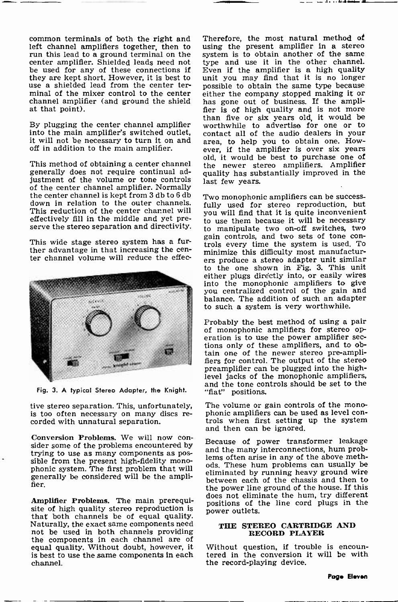common terminals of both the right and left channel amplifiers together, then to run this lead to a ground terminal on the system is to obtain another of the same center amplifier. Shielded leads need not type and use it in the other channel. center amplifier. Shielded leads need not be used for any of these connections if  $\overline{E}$  ven if the amplifier is a high quality they are kept short. However, it is best to unit you may find that it is no longer use a shielded lead from the center terminal of the mixer control to the center either the company stopped making it or channel amplifier (and ground the shield has gone out of business. If the ampliat that point).

By plugging the center channel amplifier into the main amplifier's switched outlet, it will not be necessary to turn it on and off in addition to the main amplifier.

This method of obtaining a center channel generally does not require continual adjustment of the volume or tone controls of the center channel amplifier. Normally<br>the center channel is kept from 3 db to 6 db  $T_{\text{WO}}$  monophonic amplifiers can be successdown in relation to the outer channels. This reduction of the center channel will effectively fill in the middle and yet pre-

This wide stage stereo system has a fur-<br>ther advantage in that increasing the center channel volume will reduce the effec-



Fig. 3. A typical Stereo Adapter, the Knight.

is too often necessary on many discs re- corded with unnatural separation.

Conversion Problems. We will now consider some of the problems encountered by trying to use as many components as possible from the present high-fidelity mono- phonic system. The first problem that will generally be considered will be the amplifier.

Amplifier Problems. The main prerequisite of high quality stereo reproduction is that both channels be of equal quality.<br>Naturally, the exact same components need not be used in both channels providing the components in each channel are of equal quality. Without doubt, however, it is best to use the game components in each channel.

channel amplifier (and ground the shield has gone out of business. If the ampli-<br>at that point). fier is of high quality and is not more Therefore, the most natural method of using the present amplifier in a stereo system is to obtain another of the same Even if the amplifier is a high quality possible to obtain the same type because either the company stopped making it or than five or six years old, it would be worthwhile to advertise for one or to contact all of the audio dealers in your area, to help you to obtain one. However, if the amplifier is over six years old, it would be best to purchase one of the newer stereo amplifiers. Amplifier quality has substantially improved in the last few years.

 $\mathcal{A}$  . . . to the density of different

serve the stereo separation and directivity.<br>gain controls, and two on-off switches, two<br>gain controls, and two sets of tone confully used for stereo reproduction, but you will find that it is quite inconvenient to use them because it will be necessary to manipulate two on -off switches, two trols every time the system is used. To minimize this difficulty most manufacturers produce a stereo adapter unit similar to the one shown in Fig. 3. This unit either plugs directly into, or easily wires into the monophonic amplifiers to give you centralized control of the gain and balance. The addition of such an adapter to such a system is very worthwhile.

> Probably the best method of using a pair of monophonic amplifiers for stereo options only of these amplifiers, and to obtain one of the newer stereo pre -amplifiers for control. The output of the stereo preamplifier can be plugged into the highlevel jacks of the monophonic amplifiers, and the tone controls should be set to the "fiat" positions.

tive stereo separation. This, unfortunately, The volume or gain controls of the mono-<br>is too often necessary on many discs re-<br>phonic amplifiers can be used as level controls when first setting up the system and then can be ignored.

> Because of power transformer leakage and the many interconnections, hum problems often arise in any of the above methods. These hum problems can usually be eliminated by running heavy ground wire between each of the chassis and then to the power line ground of the house. If this does not eliminate the hum, try different positions of the line cord plugs in the power outlets.

#### THE STEREO CARTRIDGE AND RECORD PLAYER

Without question, if trouble is encoun-<br>tered in the conversion it will be with the record-playing device.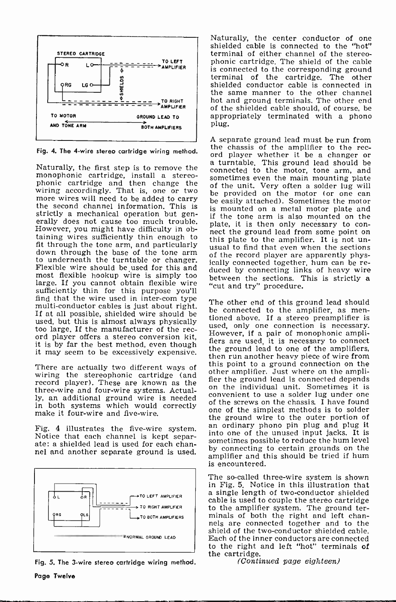

monophonic cartridge, install a stereomonophonic cartridge, install a stereo-<br>phonic cartridge and then change the of the unit. Very often a solder lug will<br>wiring accordingly. That is, one or two he previded an the mater (or ane can more wires will need to be added to carry the easily attached). Sometimes the motor the second channel information. This is is mounted on a matal motor plate and strictly a mechanical operation but gen- erally does not cause too much trouble. However, you might have difficulty in ob-However, you might have difficulty in ob-<br>taining wires sufficiently thin enough to<br>this plate to the amplifier. It is not unfit through the tone arm, and particularly down that even when the sections down through the base of the tone arm of the record player are apparently physto underneath the turntable or changer.<br>Flexible wire should be used for this and duced by connected together, hum can be remost flexible hookup wire is simply too large. If you cannot obtain flexible wire  $\frac{1}{2}$  "cut and try" procedure. sufficiently thin for this purpose you'll find that the wire used in inter-com type<br>find that the wire used in inter-computed to the multi-conductor cables is just about right. If at all possible, shielded wire should be<br>I used, but this is almost always physically<br>too large. If the manufacturer of the rec-<br> $\frac{1}{2}$  wild, only one connection is necessary. ord player offers a stereo conversion kit, it is by far the best method, even though it is by far the best method, even though it may seem to be excessively expensive. The ground lead to one of the amplifiers,

There are actually two different ways of this point to a ground connection on the moli-<br>wiring the stereophonic cartridge (and connection of the molirecord player). These are known as the the ground lead is connected depends<br>three wire and four wire systems, Actual on the individual unit. Sometimes it is three -wire and four -wire systems. Actually, an additional ground wire is needed<br>in an additional ground wire is needed<br>in both cystams which would connectly of the screws on the chassis. I have found in both systems which would correctly make it four-wire and five-wire.

Fig. 4 illustrates the five-wire system.<br>Notice that each channel is kept separ-<br>ate: a shielded lead is used for each channel and another separate ground is used.



Fig. 5. The 3-wire stereo cartridge wiring method.

Naturally, the center conductor of one shielded cable is connected to the "hot" terminal of either channel of the stereophonic cartridge. The shield of the cable<br>is connected to the corresponding ground terminal of the cartridge. The other shielded conductor cable is connected in the same manner to the other channel hot and ground terminals. The other end of the shielded cable should, of course, be appropriately terminated with a phono plug.

Fig. 4. The 4-wire stereo cartridge wiring method. The chassis of the amplifier to the reca turntable. This ground lead should be<br>Naturally, the first step is to remove the connected to the motor tone arm and A separate ground lead must be run from the chassis of the amplifier to the recconnected to the motor, tone arm, and of the unit. Very often a solder lug will be provided on the motor (or one can is mounted on a metal motor plate and if the tone arm is also mounted on the plate, it is then only necessary to conduced by connecting links of heavy wire between the sections. This is strictly a

> The other end of this ground lead should tioned above. If a stereo preamplifier is used, only one connection is necessary. However, if a pair of monophonic ampli-fiers are used, it is necessary to connect then run another heavy piece of wire from this point to a ground connection on the fier the ground lead is connected depends one of the simplest methods is to solder the ground wire to the outer portion of<br>an ordinary phono pin plug and plug it into one of the unused input jacks. It is sometimes possible to reduce the hum level by connecting to certain grounds on the amplifier and this should be tried if hum is encountered.

The so-called three-wire system is shown in Fig. 5. Notice in this illustration that a single length of two -conductor shielded cable is used to couple the stereo cartridge to the amplifier system. The ground terminals of both the right and left channels are connected together and to the shield of the two -conductor shielded cable. Each of the inner conductors are connected to the right and left "hot" terminals of the cartridge.

 $(Continued\ page\ eighteen)$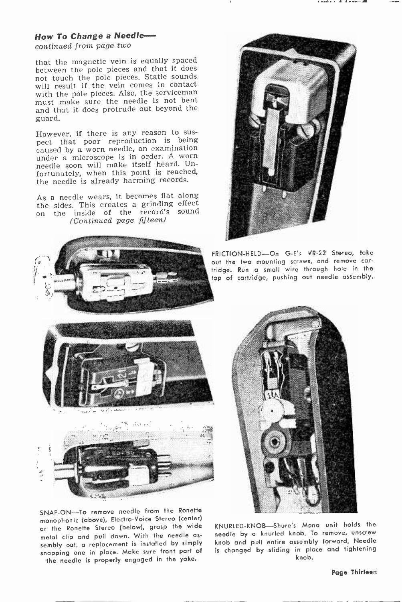#### How To Change a Needle-

continued from page two

that the magnetic vein is equally spaced between the pole pieces and that it does not touch the pole pieces. Static sounds will result if the vein comes in contact with the pole pieces. Also, the serviceman must make sure the needle is not bent and that it does protrude out beyond the guard.

However, if there is any reason to sus-<br>pect that poor reproduction is being caused by a worn needle, an examination<br>under a microscope is in order. A worn needle soon will make itself heard. Unfortunately, when this point is reached, the needle is already harming records.

As a needle wears, it becomes flat along the sides. This creates a grinding effect on the inside of the record's sound (Continued page fifteen)



SNAP-ON-To remove needle from the Ronette monophonic (above), Electro -Voice Stereo (center) or the Ronette Stereo (below), grasp the wide metal clip and pull down. With the needle as sembly out, a replacement is installed by simply snapping one in place. Make sure front part of the needle is properly engaged in the yoke.



KNURLED-KNOB-Shure's Mono unit holds the needle by a knurled knob. To remove, unscrew knob and pull entire assembly forward. Needle is changed by sliding in place and tightening knob.

#### Page Thirteen



FRICTION-HELD-On G-E's VR-22 Stereo, take out the two mounting screws, and remove car tridge. Run a small wire through hole in the top of cartridge, pushing out needle assembly.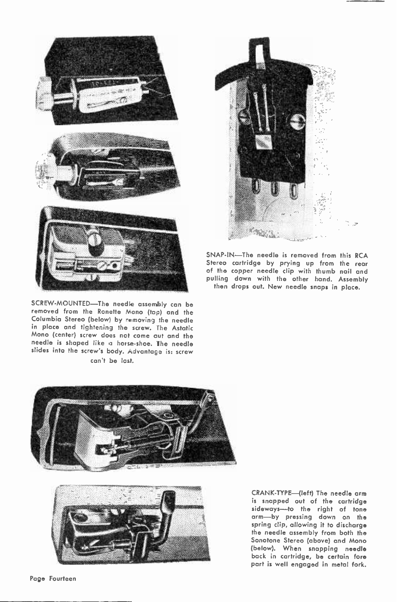

SCREW-MOUNTED-The needle assembly can be removed from the Ronette Mono (top) and the Columbia Stereo (below) by removing the needle in place and tightening the screw. The Astatic Mono (center) screw does not come out and the needle is shaped like a horse-shoe. The needle slides into the screw's body. Advantage is: screw can't be lost.



SNAP-IN—The needle is removed from this RCA<br>Stereo cartridge by prying up from the rear of the copper needle clip with thumb nail and pulling down with the other hand. Assembly then drops out. New needle snaps in place.





CRANK-TYPE-(left) The needle arm<br>is snapped out of the cartridge sideways-to the right of tone arm-by pressing down on the spring clip, allowing it to discharge the needle assembly from both the Sonotone Stereo (above) and Mono (below). When snapping needle back in cartridge, be certain fore part is well engaged in metal fork.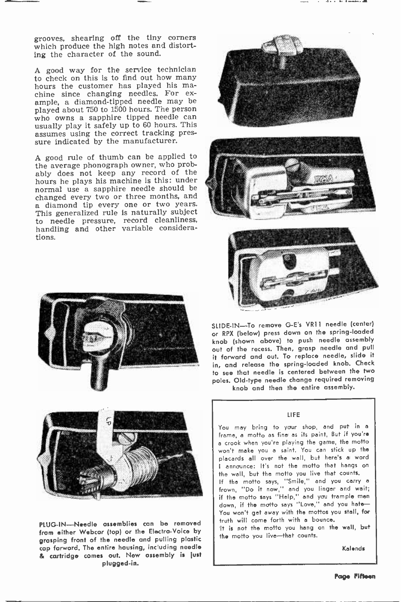grooves, shearing off the tiny corners which produce the high notes and distorting the character of the sound.

A good way for the service technician to check on this is to find out how many hours the customer has played his ma-<br>chine since changing needles. For ex-<br>ample, a diamond-tipped needle may be played about 750 to 1500 hours. The person who owns a sapphire tipped needle can usually play it safely up to 60 hours. This assumes using the correct tracking pres- sure indicated by the manufacturer.

A good rule of thumb can be applied to the average phonograph owner, who probably does not keep any record of the hours he plays his machine is this: under normal use a sapphire needle should be changed every two or three months, and a diamond tip every one or two years. This generalized rule is naturally subject to needle pressure, record cleanliness, handling and other variable considerations.





PLUG-IN-Needle assemblies can be removed from either Webcar (top) or the Electra-Voice by grasping front of the needle and pulling plastic cap forward. The entire housing, including needle & cartridge comes out. New assembly is lust plugged -in.







SLIDE -IN --To remove G -E's VRII needle (center) or RPX (below) press down on the spring -loaded knob (shown above) to push needle assembly out of the recess. Then, grasp needle and pull it forward and out. To replace needle, slide it in, and release the spring-loaded knob. Check to see that needle is centered between the two poles. Old-type needle change required removing knob and then the entire assembly.

LIFE You may bring to your shop, end put in a frame, a motto as fine as its paint, But if you're <sup>a</sup>crook when you're playing the game, the motto won't make you a saint. You can stick up the placards all over the wall, but here's a word I announce: It's not the motto that hangs on the wall, but the motto you live that counts. If the motto says, "Smile," and you carry a frown, "Do it now," and you linger and wait; if the motto says "Help," and you trample men down, if the motto says "Love," and you hate-You won't get away with the mottos you stall, for truth will come forth with a bounce.

It is not the motto you hang on the wall, but the motto you live—that counts.<br>Kalends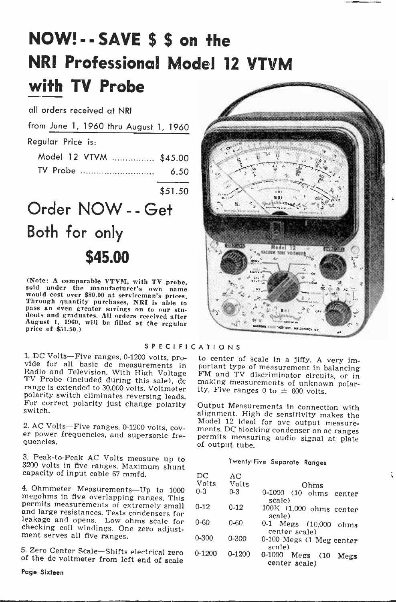## NOW! - - SAVE \$ \$ on the NRI Professional Model 12 VTVM with TV Probe

all orders received at NRI

from June 1, 1960 thru August 1, 1960

Regular Price is:

|  |  | Model 12 VTVM  \$45.00 |      | 鬋 |
|--|--|------------------------|------|---|
|  |  | TV Probe               | 6.50 |   |

\$51.50

## Order NOW - - Get Both for only \$45.00

(Note: A comparable VTVM, with TV probe, sold under the manufacturer's own name would cost over \$80.00 at serviceman's prices, Through quantity purchases, NRI is able to purshes an even greater savings on to our students and graduates. All orders received after<br>August 1, 1960, will be filled at the regular<br>price of \$51.50.)

S P E C I F I C A T I O N S

1. DC Volts—Five ranges, 0-1200 volts, pro-<br>vide for all basic dc measurements in portant type of measurement in balancing<br>Radio and Television. With High Voltage FM and TV discriminator circuits, or in<br>TV Probe (included range is extended to 30,000 volts. Voltmeter polarity switch eliminates reversing leads. For correct polarity just change polarity switch.

2. AC Volts-Five ranges, 0-1200 volts, cov- er power frequencies, and supersonic fre- quencies.

3. Peak -to -Peak AC Volts measure up to 3200 volts in five ranges. Maximum shunt capacity of input cable 67 mmfd.

4. Ohmmeter Measurements—Up to 1000 megohms in five overlapping ranges. This permits measurements of extremely small and large resistances. Tests condensers for leakage and opens. Low ohms scale for checking coil windings.

5. Zero Center Scale-Shifts electrical zero of the dc voltmeter from left end of scale



# making measurements of unknown polar-<br>ity. Five ranges 0 to  $\pm$  600 volts.

to center of scale in a jiffy. A very im-

Output Measurements in connection with alignment. High dc sensitivity makes the Model 12 ideal for avc output measure-<br>ments. DC blocking condenser on ac ranges permits measuring audio signal at plate of output tube.

#### Twenty -Five Separate Ranges

t

| AС         |                                                 |
|------------|-------------------------------------------------|
| Volts      | Ohms                                            |
| $0 - 3$    | 0-1000 (10 ohms center<br>scale)                |
| $0 - 12$   | 100K (1,000 ohms center<br>scale)               |
| $0 - 60$   | 0-1 Megs (10,000 ohms<br>center scale)          |
| $0 - 300$  | $0-100$ Megs $(1$ Meg center<br>scale)          |
| $0 - 1200$ | $0 - 1000$<br>Megs (10<br>Megs<br>center scale) |
|            |                                                 |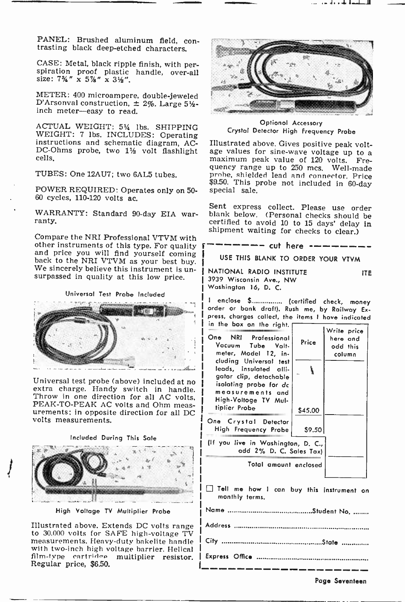CASE: Metal, black ripple finish, with per-<br>spiration proof plastic handle, over-all<br>size: 7¼" x 5½" x 3½".

METER: 400 microampere, double-jeweled D'Arsonval construction,  $\pm$  2%. Large 5½-<br>inch meter-easy to read.

ACTUAL WEIGHT: 514 lbs. SHIPPING WEIGHT: 7 lbs. INCLUDES: Operating<br>instructions and schematic diagram, AC-<br>DC-Ohms probe, two 1½ volt flashlight<br>cells.

TUBES: One 12AU7; two 6AL5 tubes.

POWER REQUIRED: Operates only on 50- 60 cycles, 110-120 volts ac.

WARRANTY: Standard 90-day EIA war-ranty.

other instruments of this type. For quality and price you will find yourself coming back to the NRI VTVM as your best buy. We sincerely believe this instrument is un- surpassed in quality at this low price.

Universal Test Probe Included



Universal test probe (above) included at no extra charge. Handy switch in handle. Throw in one direction for all AC volts, PEAK -TO -PEAK AC volts and Ohm meas- urements; in opposite direction for all DC volts measurements.

Included During This Sale



High Voltage TV Multiplier Probe

Illustrated above. Extends DC volts range to 30,000 volts for SAFE high-voltage TV measurements. Heavy-duty bakelite handle with two-inch high voltage harrier. Helical film-type cartridge multiplier resistor. Regular price, \$6.50.

I.



Optional Accessory Crystal Detector High Frequency Probe

Illustrated above. Gives positive peak voltmaximum peak value of 120 volts. Frequency range up to 250 mcs. Well-made probe, shielded lead and connector. Price \$9.50. This probe not included in 60-day

Shipment waiting for checks to clear.)<br>Compare the NRI Professional VTVM with Sent express collect. Please use order<br>blank below. (Personal checks should be<br>certified to avoid 10 to 15 days' delay in

- cut here -

USE THIS BLANK TO ORDER YOUR VTVM

NATIONAL RADIO INSTITUTE ITE ITE<br>3939 Wisconsin Ave., NW Washington 16, D. <sup>C</sup>

I enclose \$................. (certified check, money order or bank draft). Rush me, by Railway Ex-<br>press, charges collect, the items I hove indicated in the box on the right.

| One NRI Professional<br>Vacuum Tube Valt-                                                                              | Price   | Write price<br>here and |
|------------------------------------------------------------------------------------------------------------------------|---------|-------------------------|
| meter, Model 12, in-<br>cluding Universal test                                                                         |         | odd this<br>column      |
| leads, insulated alli-<br>gator clip, detachable<br>isolating probe for dc<br>measurements and<br>High-Voltoge TV Mul- | ١       |                         |
| tiplier Probe                                                                                                          | \$45.00 |                         |
| One Crystal Detector<br>High Frequency Probe                                                                           | \$9.50  |                         |
| (If you live in Washington, D. C.,<br>add 2% D. C. Sales Tax)                                                          |         |                         |
| Total amount enclosed                                                                                                  |         |                         |
|                                                                                                                        |         |                         |

Tell me how I can buy this instrument on monthly terms.

Page Seventeen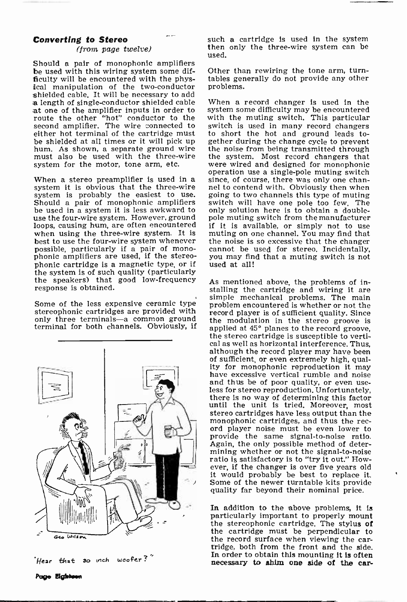#### Converting to Stereo

#### (from page twelve)

Should a pair of monophonic amplifiers<br>be used with this wiring system some dif-<br>ficulty will be encountered with the physical manipulation of the two-conductor shielded cable. It will be necessary to add ,a length of single -conductor shielded cable .at one of the amplifier inputs in order to route the other "hot" conductor to the with the muting switch. This particular second amplifier. The wire connected to switch is used in many record changers second amplifier. The wire connected to either hot terminal of the cartridge must<br>be shielded at all times or it will pick up hum. As shown, a separate ground wire  $\epsilon$  the noise from being transmitted through must also be used with the three-wire the system. Most record changers that must also be used with the three-wire the system. Most record changers that system for the motor, tone arm, etc. were wired and designed for monophonic system for the motor, tone arm, etc.

system is probably the easiest to use. going to two channels this type of muting<br>Should a pair of monophonic amplifiers switch will have one pole too few. The<br>be used in a system it is less awkward to only solution here is use the four-wire system. However, ground loops, causing hum, are often encountered if it is available, or simply not to use when using the three-wire system. It is muting on one channel. You may find that when using the three-wire system. It is best to use the four-wire system whenever possible, particularly if a pair of mono- phonic amplifiers are used, if the stereophonic cartridge is a magnetic type, or if<br>the system is of such quality (particularly the speakers) that good low-frequency response is obtained.

Some of the less expensive ceramic type stereophonic cartridges are provided with<br>only three terminals—a common ground



Hear that 30 inch woofer?

such a cartridge is used in the system then only the three -wire system can be used.

Other than rewiring the tone arm, turntables generally do not provide any other problems.

operation use a single-pole muting switch<br>When a stereo preamplifier is used in a since, of course, there was only one chan-<br>system it is obvious that the three-wire and to contend with. Obviously then when When a record changer is used in the system some difficulty may be encountered with the muting switch. This particular to short the hot and ground leads together during the change cycle to prevent since, of course, there was only one channel to contend with. Obviously then when going to two channels this type of muting only solution here is to obtain a doubleif it is available, or simply not to use the noise is so excessive that the changer cannot be used for stereo. Incidentally, you may find that a muting switch is not used at all!

terminal for both channels. Obviously, if applied at  $45^{\circ}$  planes to the record groove, As mentioned above, the problems of installing the cartridge and wiring it are simple mechanical problems. The main problem encountered is whether or not the record player is of sufficient quality. Since the modulation in the stereo groove is the stereo cartridge is susceptible to verti-<br>cal as well as horizontal interference. Thus, although the record player may have been<br>of sufficient, or even extremely high, quality for monophonic reproduction it may have excessive vertical rumble and noise and thus be of poor quality, or even useand thus be of poor quality, or even use-<br>less for stereo reproduction. Unfortunately,<br>there is no way of determining this factor<br>until the unit is tried. Moreover, most stereo cartridges have less output than the monophonic cartridges, and thus the rec- ord player noise must be even lower to provide the same signal-to-noise ratio. Again, the only possible method of deterratio is satisfactory is to "try it out." However, if the changer is over five years old it would probably be best to replace it. Some of the newer turntable kits provide quality far beyond their nominal price.

> In addition to the above problems, it is particularly important to properly mount the stereophonic cartridge. The stylus of the cartridge must be perpendicular to<br>the record surface when viewing the cartridge, both from the front and the side. In order to obtain this mounting it is often necessary to shim one side of the car-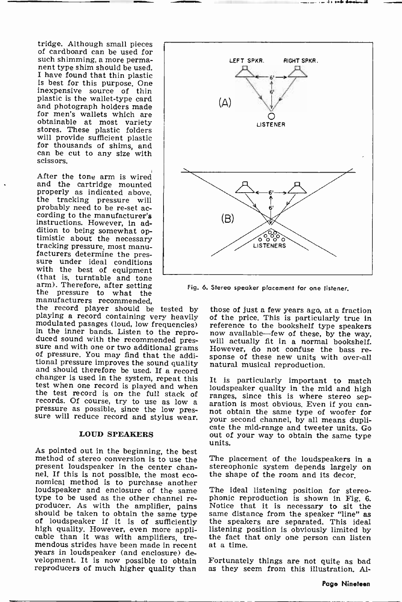tridge. Although small pieces of cardboard can be used for nent type shim should be used. I have found that thin plastic is best for this purpose. One inexpensive source of thin plastic is the wallet-type card and photograph holders made for men's wallets which are obtainable at most variety stores. These plastic folders for thousands of shims, and can be cut to any size with scissors.

After the tone arm is wired and the cartridge mounted properly as indicated above,<br>the tracking pressure will probably need to be re -set ac- cording to the manufacturer's instructions. However, in adtimistic about the necessary<br>tracking pressure, most manu-<br>facturers determine the pressure under ideal conditions<br>with the best of equipment

with the best of equipment<br>
(that is, turntable and tone<br>
arm.). Therefore, after setting<br>
the pressure to what the<br>
manufacturers recommended,<br>
the record player should be tested by the<br>
playing a record containing very h changer is used in the system, repeat this<br>test when one record is played and when<br>the test record is on the full stack of<br>records. Of course, try to use as low a<br>pressure as possible, since the low pres-

#### LOUD SPEAKERS

As pointed out in the beginning, the best<br>method of stereo conversion is to use the The placement of the loudspeakers in a method of stereo conversion is to use the present loudspeaker in the center channel. If this is not possible, the most eco- nomical method is to purchase another loudspeaker and enclosure of the same<br>type to be used as the other channel re-<br>producer. As with the amplifier, pains should be taken to obtain the same type of loudspeaker if it is of sufficiently high quality. However, even more appli-<br>cable than it was with amplifiers, tremendous strides have been made in recent years in loudspeaker (and enclosure) development. It is now possible to obtain Fortunately things are not quite as bad<br>reproducers of much higher quality than as they seem from this illustration, Alreproducers of much higher quality than



Fig. 6. Stereo speaker placement for one listener.

those of just a few years ago, at a fraction of the price. This is particularly true in reference to the bookshelf type speakers now available-few of these, by the way, will actually fit in a normal bookshelf. However, do not confuse the bass re- sponse of these new units with over-all natural musical reproduction.

pressure as possible, since the low pres-<br>sure will reduce record and stylus wear. Wour second channel by all means dupli-It is particularly important to match loudspeaker quality in the mid and high ranges, since this is where stereo separation is most obvious. Even if you canyour second channel, by all means dupli- cate the mid -range and tweeter units. Go out of your way to obtain the same type units.

stereophonic system depends largely on

The ideal listening position for stereo-phonic reproduction is shown in Fig. 6. Notice that it is necessary to sit the same distance from the speaker "line" as the speakers are separated. This ideal listening position is obviously limited by the fact that only one person can listen at a time.

Fortunately things are not quite as bad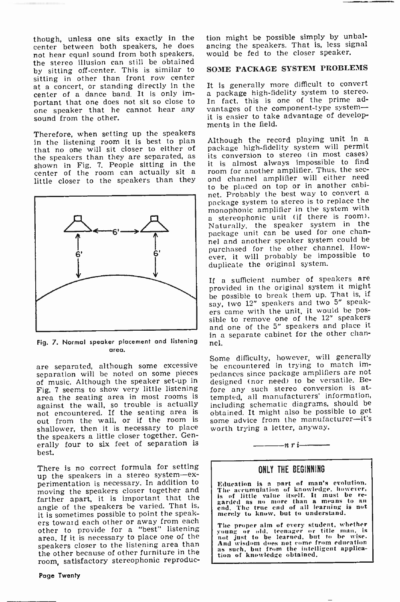though, unless one sits exactly in the center between both speakers, he does not hear equal sound from both speakers, the stereo illusion can still be obtained by sitting off -center. This is similar to sitting in other than front row center at a concert, or standing directly in the It is generally more difficult to convert<br>center of a dance band It is only im- a package high-fidelity system to stereo. center of a dance band. It is only imone speaker that he cannot hear any sound from the other.

Therefore, when setting up the speakers in the listening room it is best to plan Although the record playing unit in a that no one will sit closer to either of package high-fidelity system will permit that no one will sit closer to either of the speakers than they are separated, as its<br>shown in Fig. 7. People sitting in the it center of the room can actually sit a room.<br>little closer to the speakers than they on



Fig. 7. Normal speaker placement and listening area.

are separated, although some excessive separation will be noted on some pieces of music. Although the speaker set-up in Fig. 7 seems to show very little listening area the seating area in most rooms is against the wall, so trouble is actually not encountered. If the seating area is obtained. It might also be possible to get<br>out from the wall, or if the room is some advice from the manufacturer—it's out from the wall, or if the room is shallower, then it is necessary to place the speakers a little closer together. Generally four to six feet of separation is best.

There is no correct formula for setting up the speakers in a stereo system-experimentation is necessary. In addition to moving the speakers closer together and farther apart, it is important that the angle of the speakers be varied. That is,<br>it is sometimes possible to point the speakers toward each other or away from each other to provide for a "best" listening area. If it is necessary to place one of the not just to be learned, but to be wise.<br>speakers closer to the listening area than And wisdom does not come from education speakers closer to the listening area than the other because of other furniture in the room, satisfactory stereophonic reproduc-

Page Twenty

tion might be possible simply by unbalancing the speakers. That is, less signal would be fed to the closer speaker.

#### SOME PACKAGE SYSTEM PROBLEMS

It is generally more difficult to convert In fact, this is one of the prime advantages of the component-type systemit is easier to take advantage of developments in the field.

Although the record playing unit in a its conversion to stereo (in most cases) room for another amplifier. Thus, the sec-<br>ond channel amplifier will either need to be placed on top or in another cabi-<br>net. Probably the best way to convert a package system to stereo is to replace the monophonic amplifier in the system with a stereophonic unit (if there is room). Naturally, the speaker system in the package unit can be used for one channel and another speaker system could be purchased for the other channel. However, it will probably be impossible to duplicate the original system.

If a sufficient number of speakers are provided in the original system it might be possible to break them up. That is, if say, two 12" speakers and two 5" speakers came with the unit, it would be possible to remove one of the 12" speakers and one of the 5" speakers and place it in a separate cabinet for the other channel.

Some difficulty, however, will generally be encountered in trying to match impedances since package amplifiers are not designed (nor need) to be versatile. Before any such stereo conversion is attempted, all manufacturers' information, including schematic diagrams, should be obtained. It might also be possible to get some advice from the manufacturer-it's worth trying a letter, anyway.

<sup>n</sup>r i

#### ONLY THE BEGINNING

Education is a part of man's evolution. The accumulation of knowledge, however, is of little value itself. It must be re-<br>garded as no more than a means to an end. The true end of all learning is nut merely to know, but to understand.

The proper aim of every student, whether young or old, teenager or title man, is not just to be learned, but to be wise. And wisdom dues not come from edueation as such, but from the intelligent applica- tion of knowledge obtained.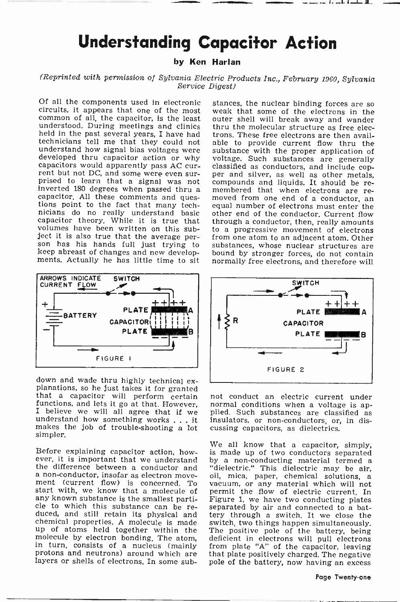### Understanding Capacitor Action

#### by Ken Harlan

### (Reprinted with permission of Sylvania Electric Products Inc., February 1960, Sylvania Service Digest)

circuits, it appears that one of the most common of all, the capacitor, is the least understood. During meetings and clinics held in the past several years, I have had technicians tell me that they could not developed thru capacitor action or why<br>capacitors would apparently pass AC cur-<br>rent but not DC, and some were even sur-<br>prised to learn that a signal was not prised to learn that a signal was not inverted 180 degrees when passed thru a capacitor. All these comments and ques-<br>tions point to the fact that many technicians do no really understand basic otl nicians do no really understand basic other end of the conductor, Current flow capacitor theory. While it is true that through a conductor, then, really amounts volumes have been written on this sub- to a progressive movem ject it is also true that the average per-<br>son has his hands full just trying to keep abreast of changes and new develop- ments. Actually he has little time to sit



down and wade thru highly technical ex-<br>planations, so he just takes it for granted<br>that a capacitor will perform certain<br>functions, and lets it go at that. However, makes the job of trouble -shooting a lot simpler.

Before explaining capacitor action, howa non-conductor, insofar as electron move- oil, mica, paper, chemical solutions, a ment (current flow) is concerned. To vacuum, or any material which will not start with, we know that a molecule of permit the flow of electric current. In any known substance is the smallest parti-<br>Figure 1, we have two conducting plates cle to which this substance can be re-<br>duced, and still retain its physical and chemical properties. A molecule is made sw up of atoms held together within the up of atoms held together within the The positive pole of the battery, being molecule by electron bonding. The atom, deficient in electrons will pull electrons in turn, consists of a nucleus (mainly from plate "A" of the c layers or shells of electrons. In some sub-

Of all the components used in electronic weak that some of the electrons in the outer shell will break away and wander thru the molecular structure as free electrons. These free electrons are then available to provide current flow thru the substance with the proper application of voltage. Such substances are generally classified as conductors, and include copper and silver, as well as other metals. compounds and liquids. It should be re-<br>membered that when electrons are re-<br>moved from one end of a conductor, an<br>equal number of electrons must enter the through a conductor, then, really amounts to a progressive movement of electrons from one atom to an adjacent atom. Other substances, whose nuclear structures are bound by stronger forces, do not contain normally free electrons, and therefore will



I believe we will all agree that if we plied. Such substances are classified as understand how something works . . . it insulators, or non-conductors, or, in disnot conduct an electric current under normal conditions when a voltage is apcussing capacitors, as dielectrics.

Before explaining capacitor action, how- is made up of two conductors separated ever, it is important that we understand by a non-conducting material termed a the difference between a conductor and "dielectric." This diele We all know that a capacitor, simply, oil, mica, paper, chemical solutions, a permit the flow of electric current. In separated by air and connected to a battery through a switch. It we close the switch, two things happen simultaneously. from plate "A" of the capacitor, leaving that plate positively charged. The negative pole of the battery, now having an excess

#### Page Twenty-one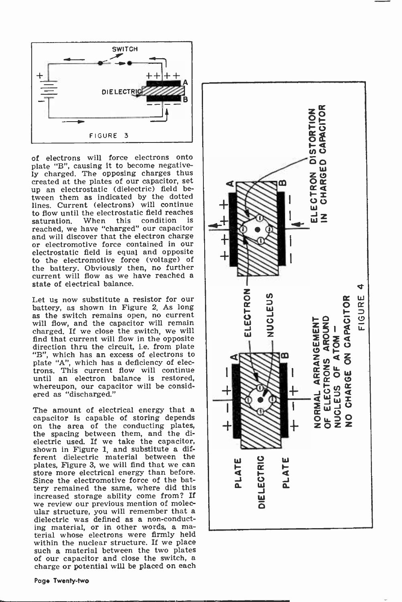

of electrons will force electrons onto plate "B", causing it to become negatively charged. The opposing charges thus created at the plates of our capacitor, set up an electrostatic (dielectric) field between them as indicated by the dotted lines. Current (electrons) will continue to flow until the electrostatic field reaches<br>saturation. When this condition is saturation. When this condition is<br>reached, we have "charged" our capacitor and will discover that the electron charge or electromotive force contained in our electrostatic field is equal and opposite to the electromotive force (voltage) of the battery. Obviously then, no further current will flow as we have reached a state of electrical balance.

Let us now substitute a resistor for our battery, as shown in Figure 2. As long as the switch remains open, no current will flow, and the capacitor will remain charged. If we close the switch, we will find that current will flow in the opposite direction thru the circuit, i.e. from plate "B", which has an excess of electrons to plate "A", which has a deficiency of electrons. This current flow will continue until an electron balance is restored, whereupon, our capacitor will be considered as "discharged."

The amount of electrical energy that a capacitor is capable of storing depends on the area of the conducting plates, the spacing between them, and the dielectric used. If we take the capacitor, shown in Figure 1, and substitute a different dielectric material between the plates, Figure 3, we will find that we can store more electrical energy than before. Since the electromotive force of the battery remained the same, where did this increased storage ability come from? If we review our previous mention of molecular structure, you will remember that a dielectric was defined as a non-conduct-<br>ing material, or in other words, a material whose electrons were firmly held within the nuclear structure. If we place such a material between the two plates of our capacitor and close the switch, a charge or potential will be placed on each

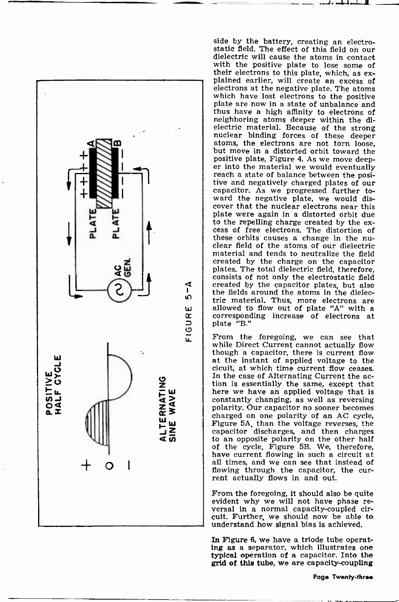

side by the battery, creating an electrostatic field. The effect of this field on our dielectric will cause the atoms in contact with the positive plate to lose some of their electrons to this plate, which, as ex- plained earlier, will create an excess of electrons at the negative plate. The atoms which have lost electrons to the positive plate are now in a state of unbalance and thus have a high affinity to electrons of neighboring atoms deeper within the dielectric material. Because of the strong nuclear binding forces of these deeper atoms, the electrons are not torn loose, but move in a distorted orbit toward the positive plate, Figure 4. As we move deep-<br>er into the material we would eventually reach a state of balance between the posi-<br>tive and negatively charged plates of our capacitor. As we progressed further toward the negative plate, we would dis-<br>cover that the nuclear electrons near this plate were again in a distorted orbit due to the repelling charge created by the ex- cess of free electrons. The distortion of these orbits causes a change in the nuclear field of the atoms of our dielectric material and tends to neutralize the field created by the charge on the capacitor plates. The total dielectric field, therefore, consists of not only the electrostatic field created by the capacitor plates, but also the fields around the atoms in the dielectric material. Thus, more electrons are<br>allowed to flow out of plate "A" with a corresponding increase of electrons at plate "B."

 $\cdots$ d i. andred medianti $\blacksquare$  ....  $\blacksquare$ 

From the foregoing, we can see that while Direct Current cannot actually flow though a capacitor, there is current flow at the instant of applied voltage to the<br>cicuit, at which time current flow ceases. In the case of Alternating Current the ac-<br>tion is essentially the same, except that here we have an applied voltage that is constantly changing, as well as reversing polarity. Our capacitor no sooner becomes Figure 5A, than the voltage reverses, the capacitor discharges, and then charges to an opposite polarity on the other half of the cycle, Figure 5B. We, therefore, have current flowing in such a circuit at all times, and we can see that instead of flowing through the capacitor, the current actually flows in and out.

From the foregoing, it should also be quite evident why we will not have phase reversal in a normal capacity-coupled circuit. Further, we should now be able to understand how signal bias is achieved.

In Figure 6, we have a triode tube operating as a separator, which illustrates one typical operation of a capacitor. Into the grid of this tube, we are capacity -coupling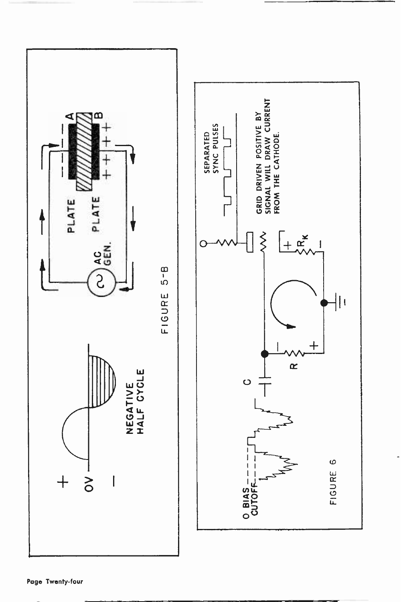

Page Twenty-four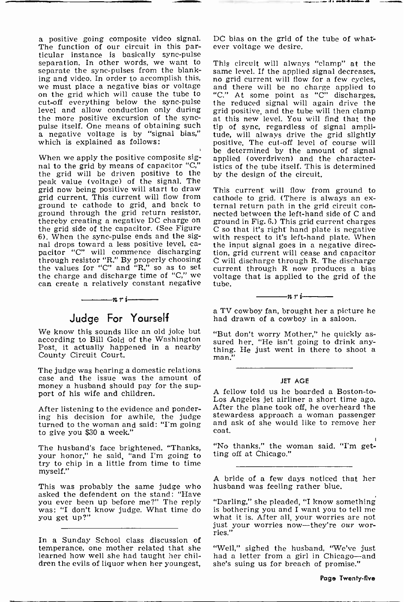a positive going composite video signal.<br>The function of our circuit in this particular instance is basically sync-pulse<br>separation. In other words, we want to This circuit will always "clamp" at the separation. In other words, we want to This circuit will always "clamp" at the separate the sync-pulses from the blank-<br>same level. If the applied signal decreases, separate the sync-pulses from the blanking and video. In order to accomplish this, no grid current will flow for a few cycles, we must place a negative bias or voltage and there will be no charge applied to on the grid which will cause the tube to "C." At some cut-off everything below the sync -pulse level and allow conduction only during<br>the more positive excursion of the syncwhich is explained as follows:

When we apply the positive composite sig-When we apply the positive composite sig-<br>nal to the grid by means of capacitor "C," istics of the tube itself. This is determined the grid will be driven positive to the peak value (voltage) of the signal. The grid now being positive will start to draw grid current. This current will flow from cathode to grid. (There is always an ex-<br>ground to cathode to grid, and back to ternal return path in the grid circuit conground to cathode to grid, and back to ground through the grid return resistor, nected between the left-hand side of C and thereby creating a negative DC charge on ground in Fig. 6.) This grid current charges<br>the grid side of the capacitor. (See Figure  $\circ$  C so that it's right hand plate is negative<br>6). When the sync-pulse ends and the sig- 6). When the sync -pulse ends and the signal drops toward a less positive level, ca-<br>pacitor "C" will commence discharging tion, grid current will cease and capacitor<br>through resistor "R." By properly choosing C will discharge through R. The discharge through resistor "R." By properly choosing the values for "C" and "R," so as to set the charge and discharge time of "C," we can create a relatively constant negative



### Judge For Yourself

We know this sounds like an old joke but "But don't worry Mother," he quickly asaccording to Bill Gold of the Washington Post, it actually happened in a nearby County Circuit Court.

The judge was hearing a domestic relations case and the issue was the amount of money a husband should pay for the support of his wife and children.

After listening to the evidence and ponder-<br>ing his decision for awhile, the judge ing his decision for awhile, the judge stewardess approach a woman passenger turned to the woman and said: "I'm going and ask of she would like to remove her to give you \$30 a week."

The husband's face brightened. "Thanks, "No thanks," the w<br>your honor" he said "and I'm going to ting off at Chicago." your honor," he said, "and I'm going to try to chip in a little from time to time myself."

This was probably the same judge who asked the defendent on the stand: "Have<br>you ever been up before me?" The reply you ever been up before me?" The reply ''L'<br>was: "I don't know judge. What time do is you get up?"

In a Sunday School class discussion of temperance, one mother related that she "Well," sighed the husband, "We've just learned how well she had taught her chil-<br>learned how well she had taught her chil- had a letter from a girl in Chicago--and learned how well she had taught her children the evils of liquor when her youngest, she's suing us for breach of promise."

DC bias on the grid of the tube of whatever voltage we desire.

pulse itself. One means of obtaining such tip of sync, regardless of signal ampli-<br>a negative voltage is by "signal bias," tude, will always drive the grid slightly<br>which is explained as follows: positive. The cut-off leve and there will be no charge applied to the reduced signal will again drive the grid positive, and the tube will then clamp at this new level. You will find that the tip of sync, regardless of signal amplitude, will always drive the grid slightly be determined by the amount of signal istics of the tube itself. This is determined by the design of the circuit.

> This current will flow from ground to cathode to grid. (There is always an exground in Fig. 6.) This grid current charges C so that it's right hand plate is negative the input signal goes in a negative direction, grid current will cease and capacitor current through R now produces a bias voltage that is applied to the grid of the tube.

> > $-n r$  i $-$

a TV cowboy fan, brought her a picture he had drawn of a cowboy in a saloon.

sured her. "He isn't going to drink any-<br>thing. He just went in there to shoot a<br>man."

#### JET AGE

A fellow told us he boarded a Boston-to-<br>Los Angeles jet airliner a short time ago.<br>After the plane took off, he overheard the and ask of she would like to remove her coat.

"No thanks," the woman said. "I'm get-

A bride of a few days noticed that her husband was feeling rather blue.

"Darling," she pleaded, "I know something<br>is bothering you and I want you to tell me what it is. After all, your worries are not just your worries now-they're our wor- ries."

"Well," sighed the husband, "We've just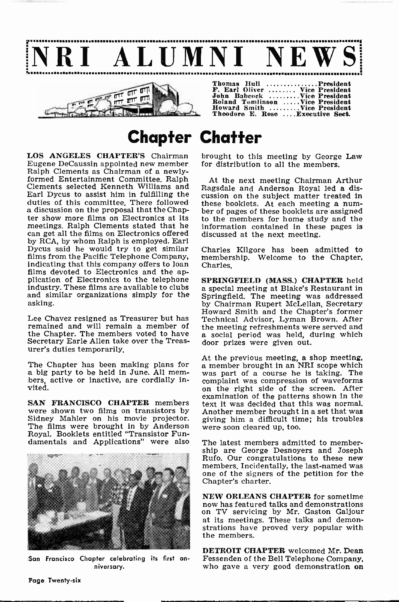



| Thomas Hull President             |  |
|-----------------------------------|--|
| F. Earl Oliver  Vice President    |  |
| John Babcock Vice President       |  |
| Roland Tomlinson Vice President   |  |
| Howard Smith Vice President       |  |
| Theodore E. Rose  Executive Sect. |  |

### Chapter Chatter

LOS ANGELES CHAPTER'S Chairman Eugene DeCaussin appointed new member<br>Ralph Clements as Chairman of a newlyformed Entertainment Committee. Ralph Clements selected Kenneth Williams and Earl Dycus to assist him in fulfilling the duties of this committee. There followed these booklets. At each meeting a num-<br>a discussion on the proposal that the Chap- ber of pages of these booklets are assigned a discussion on the proposal that the Chapter show more films on Electronics at its<br>meetings. Ralph Clements stated that he can get all the films on Electronics offered by RCA, by whom Ralph is employed. Earl Dycus said he would try to get similar films from the Pacific Telephone Company, indicating that this company offers to loan indicating that this company offers to loan<br>films devoted to Electronics and the ap-<br>plication of Electronics to the telephone<br>industry. These films are available to clubs<br>a special meeting at Blake's Bestaurant in and similar organizations simply for the asking.

Lee Chavez resigned as Treasurer but has remained and will remain a member of the Chapter. The members voted to have a social period was held, during which Secretary Earle Allen take over the Treasurer's duties temporarily.

The Chapter has been making plans for a big party to be held in June. All members, active or inactive, are cordially invited.

SAN FRANCISCO CHAPTER members<br>were shown two films on transistors by were shown two films on transistors by Anderson Sidney Mahler on his movie projector. given the films were brought in by Anderson we Royal. Booklets entitled "Transistor Fundamentals and Applications" were also



:San Francisco Chapter celebrating its first an- niversary.

brought to this meeting by George Law for distribution to all the members.

At the next meeting Chairman Arthur Ragsdale and Anderson Royal led a discussion on the subject matter treated in these booklets. At each meeting a numto the members for home study and the information contained in these pages is discussed at the next meeting.

Charles Kilgore has been admitted to membership. Welcome to the Chapter,

a special meeting at Blake's Restaurant in Springfield. The meeting was addressed Howard Smith and the Chapter's former Technical Advisor, Lyman Brown. After the meeting refreshments were served and door prizes were given out.

At the previous meeting, a shop meeting, a member brought in an NRI scope which was part of a course he is taking. The on the right side of the screen. After examination of the patterns shown in the text it was decided that this was normal. giving him a difficult time; his troubles were soon cleared up, too.

The latest members admitted to membership are George Desnoyers and Joseph Rufo. Our congratulations to these new members. Incidentally, the last-named was one of the signers of the petition for the Chapter's charter.

NEW ORLEANS CHAPTER for sometime now has featured talks and demonstrations on TV servicing by Mr. Gaston Galjour at its meetings. These talks and demonstrations have proved very popular with the members.

DETROIT CHAPTER welcomed Mr. Dean Fessenden of the Bell Telephone Company, who gave a very good demonstration on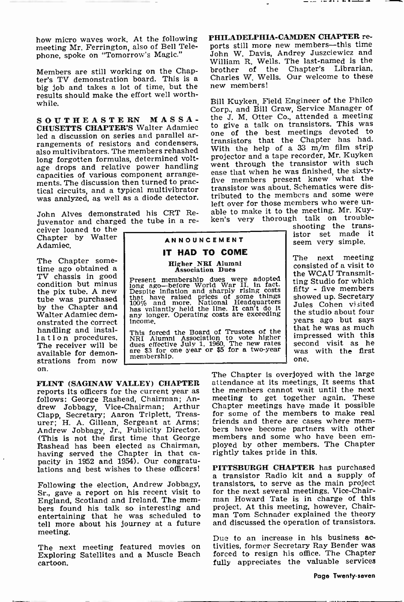meeting Mr. Ferrington, also of Bell Telephone, spoke on "Tomorrow's Magic."

Members are still working on the Chap-<br>ter's TV demonstration board. This is a big job and takes a lot of time, but the new members! results should make the effort well worthwhile.

SOUTHEASTERN MASSA-**CHUSETTS CHAPTER'S** Walter Adamiec to give a talk on transistors. This was led a discussion on series and parallel arrangements of resistors and condensers, also multivibrators. The members rehashed long forgotten formulas, determined voltage drops and relative power handling went through the transistor with such age drops and relative power handling capacities of various component arrangements. The discussion then turned to prac-<br>tical circuits, and a typical multivibrator was analyzed, as well as a diode detector.

John Alves demonstrated his CRT Re-<br>juvenator and charged the tube in a rejuvenator and charged the tube in a re-

ceiver loaned to the Chapter by Walter Adamiec.

The Chapter some-<br>time ago obtained a<br>TV chassis in good<br>condition but minus the pix tube. A new tube was purchased by the Chapter and Walter Adamiec demonstrated the correct  $\left| \begin{array}{c} \text{income.} \\ \text{rhs.} \text{fo} \end{array} \right|$ lation procedures.<br>The receiver will be available for demonstrations from now on.

IT HAD TO COME Higher NBI Alumni Association Dues

Present membership dues were adopted in<br>long ago—before World War II, in fact.<br>Despite inflation and sharply rising costs<br>that have raised prices of some things<br>has valiantly held the line. It can't do it<br>has valiantly hel any longer. Operating costs are exceeding<br>income.

This forced the Board of Trustees of the NRI Alumni Association to vote higher dues effective July 1, 1960. The new rates are \$3 for one year or \$5 for a two-year membership.

FLINT (SAGINAW VALLEY) CHAPTER<br>reports its officers for the current year as follows: George Rashead, Chairman; Andrew Jobbagy, Vice -Chairman; Arthur Clapp, Secretary; Aaron Triplett, Treasurer; H. A. Gillean, Sergeant at Arms; friends and there are cases where mem-Andrew Jobbagy, Jr., Publicity Director. (This is not the first time that George Rashead has been elected as Chairman, ployed by other members having served the Chapter in that ca-<br>rightly takes pride in this. having served the Chapter in the Chapter in the Chapter in the Chapter in the case of the Chapter in the Chapter in the Chapter in the Chapter in the Chapter in the Chapter in the Chapter in the Chapter in the Chapter in t

Following the election, Andrew Jobbagy, Sr., gave a report on his recent visit to England, Scotland and Ireland. The mem- man Howard Tate is in charge of this bers found his talk so interesting and project. At this meeting, however, Chairentertaining that he was scheduled to tell more about his journey at a future meeting.

cartoon.

how micro waves work. At the following PHILADELPHIA-CAMDEN CHAPTER remeting Mr. Ferrington also of Bell Tele- ports still more new members—this time PHILADELPHIA-CAMDEN CHAPTER re-John W. Davis, Andrey Juszciewicz and William R. Wells. The last-named is the brother of the Chapter's Librarian. brother of the Chapter's Charles W. Wells. Our welcome to these

> Bill Kuyken, Field Engineer of the Philco Corp., and Bill Craw, Service Manager of the J. M. Otter Co., attended a meeting to give a talk on transistors. This was transistors that the Chapter has had. With the help of a 33 m/m film strip projector and a tape recorder, Mr. Kuyken ease that when he was finished, the sixtyfive members present knew what the transistor was about. Schematics were distributed to the members and some were left over for those members who were un-<br>able to make it to the meeting. Mr. Kuyken's very thorough talk on trouble-

shooting the trans-ISTOR SET MANNOUNCEMENT Seem very simple.

> The next meeting consisted of a visit to the WCAU Transmitting Studio for which fifty - five members Jules Cohen visited the studio about four years ago but says<br>that he was as much impressed with this<br>second visit as he was with the first one.

The Chapter is overjoyed with the large attendance at its meetings. It seems that the members cannot wait until the next meeting to get together again. These Chapter meetings have made it possible for some of the members to make real bers have become partners with other<br>members and some who have been employed by other members. The Chapter

lations and best wishes to these officers! PITTSBURGH CHAPTER has purchased a transistor Radio kit and a supply of transistors, to serve as the main project for the next several meetings. Vice-Chairman Howard Tate is in charge of this man Tom Schnader explained the theory and discussed the operation of transistors.

The next meeting featured movies on tivities, former Secretary Ray Bender was Exploring Satellites and a Muscle Beach forced to resign his office. The Chapter Due to an increase in his business ac- tivities, former Secretary Ray Bender was forced to resign his office. The Chapter fully appreciates the valuable services

#### . . . . . . . . .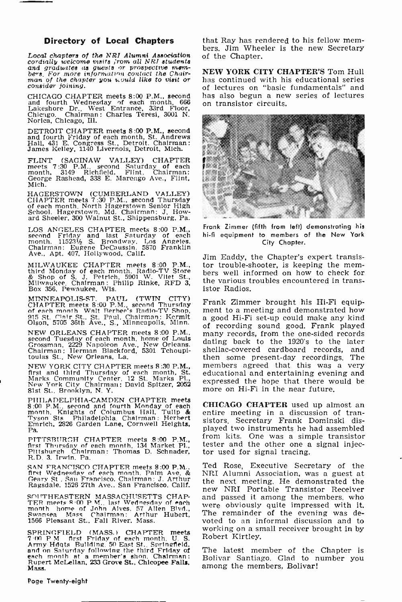#### Directory of Local Chapters

Local chapters of the NRI Alumni Association cordially welcome visits ;rom all NRI students and graduates as guests or prospective mem-<br>bers, For more information contact the Chair-<br>man of the chapter you would like to visit or<br>consider joining.

CHICAGO CHAPTER meets  $8:00$  P.M., second has also begun a nev and fourth Wednesday of each month,  $666$  on transistor circuits. and fourth Wednesday of each month, Lakeshore Dr., West Entrance, 33rd Fl Lakeshore Dr., West Entrance, 33rd Floor, Marie et al., 2001 N. Norica, Chicago, Ill.

DETROIT CHAPTER meets 8:00 P.M., second and fourth Friday of each month, St. Andrews Hall, 431 E. Congress St.. Detroit. Chairman: James Kelley, 1140 Livernois, Detroit, Mich.

FLINT (SAGINAW VALLEY) CHAPTER || 第<br>meets 7:30 P.M., second Saturday of each<br>month, 3149 Richfield, Flint. Chairman:<br>George Rashead, 338 E. Marengo Ave., Flint, Mich.

HAGERSTOWN (CUMBERLAND VALLEY)<br>CHAPTER meets 7:30 P.M., second Thursday<br>of each month. North Hagerstown Senior High<br>School, Hagerstown, Md. Chairman: J. How-<br>ard Sheeler, 300 Walnut St., Shippensburg, Pa.

LOS ANGELES CHAPTER meets 8:00 P.M., second Friday and last Saturday of each month. 11523½ S. Broadway. Los Angeles.<br>Chairman: Eugene DeCaussin. 5870 Franklin<br>Ave., Apt. 407, Hollywood, Calif.

Box 356, Pewaukee, Wis.

MINNEAPOLIS-ST. PAUL (TWIN CITY)<br>CHAPTER meets 8:00 P.M., second Thursday<br>of each month. Walt Berhee's Radio-TV Shop, 91<br>915 St. Clair St., St. Paul. Chairman: Kermit 91<br>Olson, 5705 36th Ave., S., Minneapolis, Minn. 91

NEW ORLEANS CHAPTER meets 8:00 P.M., second Tuesday of each month, home of Louis Grossman, 2229 Napoleon Ave., New Orleans. Chairman: Herman Blackford, 5301 Tchoupi- toulas St., New Orleans, La.

NEW YORK CITY CHAPTER meets 8:30 P.<mark>M.,</mark> first and third Thursday of each month. St. field Marks Community Center, 12 St. Marks Pl., C.<br>New York City Chairman: David Spitzer, 2052 81st St. Brooklyn. N. Y.

PHILADELPHIA -CAMDEN CHAPTER meets 8:00 P.M., second and fourth Monday of each - CE<br>month, Knights of Columbus Hall, Tulip & en<br>Tyson Sts. Philadelphia. Chairman: Herbert - sis Emrich, 2826 Garden Lane, Cornwell Heights, Pa.

PITTSBURGH CHAPTER meets 8:00 P.M., first Thursday of each month, 134 Market Pl., Pittsburgh. Chairman: Thomas D. Schnader, R.D. 3. Irwin. Pa.

SAN FRANCISCO CHAPTER meets 8:00 P.M.. Te<br>first Wednesday of each month. Palm Ave. &<br>Geary St . San Francisco. Chairman: J. Arthur<br>Ragsdale. 1526 27th Ave., San Francisco, Calif. th

SOUTHEASTERN MASSACHUSETTS CHAP-<br>TER meets 8:00 P M., last Wednesday of each<br>month. home of John Alves, 57 Allen Blvd.,<br>Nwansea Mass Chairman: Arthur Hubert, T1<br>1566 Pleasant St., Fall River, Mass. vo

SPRINGFIELD (MASS.) CHAPTER meets Y (M P M first Friday of each month. U. S. Army Hdgts Building. 50 East St.. Springfield.<br>and on Saturday following the third Friday of Theoret McLellan, 233 Grove St., Chicopee Falls, and<br>Rupert McLellan, 233 Grove St., Chicopee Falls, and

that Ray has rendered to his fellow mem- bers. Jim Wheeler is the new Secretary of the Chapter.

NEW YORK CITY CHAPTER'S Tom Hull has continued with his educational series of lectures on "basic fundamentals" and has also begun a new series of lectures



Frank Zimmer (fifth from left) demonstrating his hi-fi equipment to members of the New York City Chapter.

MILWAUKEE CHAPTER meets 8:00 P.M., tor trouble-shooter, is keeping the mem-<br>third Monday of each month. Radio-TV Store bers well informed on how to check for<br>& Shop of S. J. Petrich, 5901 W. Vliet St., Milwaukee. Chairman: Jim Eaddy, the Chapter's expert transistor trouble-shooter, is keeping the memthe various troubles encountered in transistor Radios.

> Frank Zimmer brought his Hi-Fi equipment to a meeting and demonstrated how a good Hi-Fi set-up could make any kind of recording sound good. Frank played many records, from the one-sided records dating back to the 1920's to the later shellac -covered cardboard records, and then some present-day recordings. The members agreed that this was a very educational and entertaining evening and expressed the hope that there would be more on Hi-Fi in the near future.

CHICAGO CHAPTER used up almost an entire meeting in a discussion of transistors. Secretary Frank Dominski displayed two instruments he had assembled from kits. One was a simple transistor tester and the other one a signal injector used for signal tracing.

Ted Rose, Executive Secretary of the NRI Alumni Association, was a guest at new NRI Portable Transistor Receiver<br>and passed it among the members, who were obviously quite impressed with it. The remainder of the evening was devoted to an informal discussion and to working on a small receiver brought in by Robert Kirtley.

The latest member of the Chapter is Bolivar Santiago. Glad to number you among the members, Bolivar!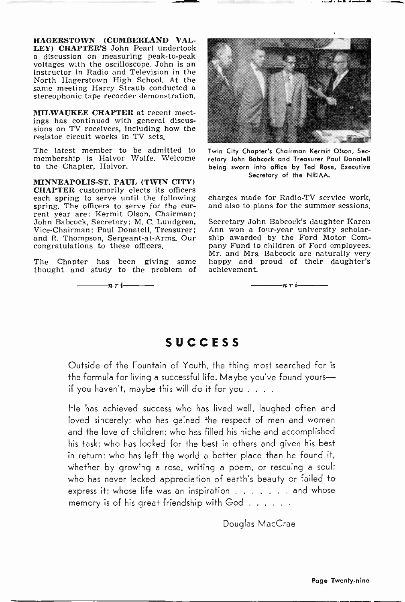HAGERSTOWN (CUMBERLAND VAL-<br>LEY) CHAPTER'S John Pearl undertook a discussion on measuring peak-to-peak<br>voltages with the oscilloscope. John is an instructor in Radio and Television in the North Hagerstown High School. At the same meeting Harry Straub conducted a stereophonic tape recorder demonstration.

MILWAUKEE CHAPTER at recent meetings has continued with general discussions on TV receivers, including how the resistor circuit works in TV sets.

The latest member to be admitted to membership is Halvor Wolfe. Welcome to the Chapter, Halvor.

MINNEAPOLIS-ST. PAUL (TWIN CITY) CHAPTER customarily elects its officers each spring to serve until the following<br>spring. The officers to serve for the current year are: Kermit Olson, Chairman; John Babcock, Secretary; M. C. Lundgren, Vice -Chairman; Paul Donatell, Treasurer; and R. Thompson, Sergeant -at -Arms. Our congratulations to these officers.

The Chapter has been giving some happy and thought and study to the problem of achievement.





Twin City Chapter's Chairman Kermit Olson, Secretary John Babcock and Treasurer Paul Donatell being sworn into office by Ted Rose, Executive Secretary of the NRIAA.

charges made for Radio-TV service work, and also to plans for the summer sessions.

Secretary John Babcock's daughter Karen Ann won a four-year university scholarship awarded by the Ford Motor Company Fund to children of Ford employees. Mr. and Mrs. Babcock are naturally very happy and proud of their daughter's

nri-

#### **SUCCESS**

Outside of the Fountain of Youth, the thing most searched for is the formula for living a successful life. Maybe you've found yoursif you haven't, maybe this will do it for you . . . .

He has achieved success who has lived well, laughed often and loved sincerely; who has gained the respect of men and women and the love of children; who has filled his niche and accomplished his task; who has looked for the best in others and given his best in return; who has left the world a better place than he found it, whether by growing a rose, writing a poem, or rescuing a soul; who has never lacked appreciation of earth's beauty or failed to express it; whose life was an inspiration  $\dots$   $\dots$  and whose memory is of his great friendship with God . . . . . .

Douglas MacCrae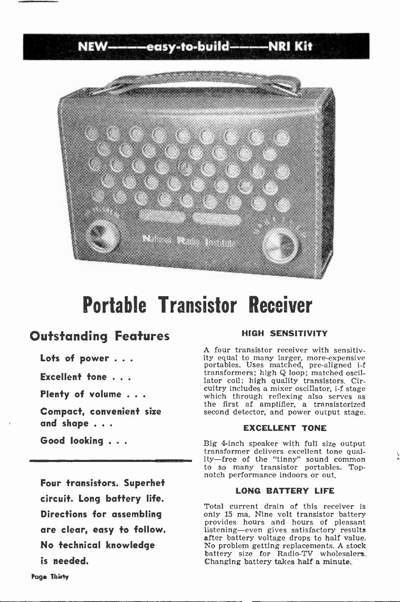NEW-------easy-to-build-------NRI Kit



## Portable Transistor Receiver

### Outstanding Features

Lots of power . . .

Excellent tone . . .

Plenty of volume . . .

Compact, convenient size and shape .. .

Good looking .. .

Four transistors. Superhet circuit. Long battery life. Directions for assembling are clear, easy to follow. No technical knowledge is needed.

#### HIGH SENSITIVITY

A four transistor receiver with sensitivity equal to many larger, more -expensive portables. Uses matched, pre -aligned i -f transformers; high Q loop; matched oscillator coil; high quality transistors. Cir-<br>cuitry includes a mixer oscillator, i-f stage which through reflexing also serves as the first af amplifier, a transistorized second detector, and power output stage.

#### EXCELLENT TONE

Big 4-inch speaker with full size output transformer delivers excellent tone quality-free of the "tinny" sound common to so many transistor portables. Top- notch performance indoors or out.

#### LONG BATTERY LIFE

Total current drain of this receiver is<br>only 15 ma. Nine volt transistor battery provides hours and hours of pleasant listening-even gives satisfactory results after battery voltage drops to half value. No problem getting replacements. A stock battery size for Radio-TV wholesalers.. Changing battery takes half a minute\_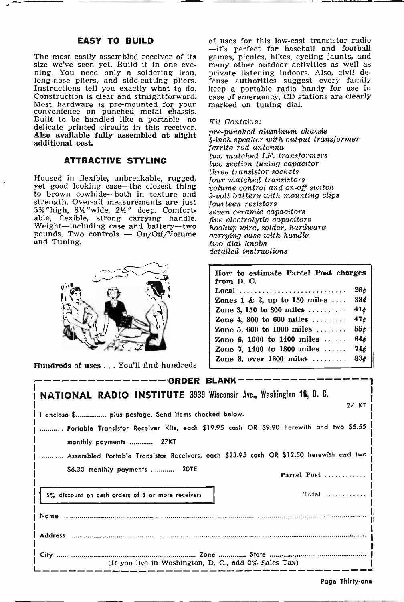#### EASY TO BUILD

The most easily assembled receiver of its games, picnics, hikes, cycling jaunts, and size we've seen yet. Build it in one eve- many other outdoor activities as well as ning. You need only a soldering iron, long-nose pliers, and side-cutting pliers. Fense authorities suggest every family Instructions tell you exactly what to do. keep a portable radio handy for use in Construction is clear and straightforward. case of emergenc Most hardware is pre-mounted for your<br>convenience on punched metal chassis.<br>Built to be handled like a portable—no delicate printed circuits in this receiver. Also available fully assembled at slight additional cost.

#### ATTRACTIVE STYLING

yet good looking case-the closest thing to brown cowhide-both in texture and 9-volt battery with<br>strength. Over-all measurements are just fourteen resistors 5% "high, 814" wide, 214" deep. Comfortable, flexible, strong carrying handle. five electrolytic capacitors Weight-including case and battery-two<br>pounds. Two controls - On/Off/Volume and Tuning.



Hundreds of uses ... You'll find hundreds

of uses for this low-cost transistor radio -it's perfect for baseball and football games, picnics, hikes, cycling jaunts, and private listening indoors. Also, civil defense authorities suggest every family keep a portable radio handy for use in marked on tuning dial.

#### Kit Contai:.s:

three transistor sockets<br>Housed in flexible, unbreakable, rugged, four matched transistor pre -punched aluminum chassis <sup>4</sup>-inch speaker with output transformer ferrite rod antenna two matched I.F. transformers two section tuning capacitor four matched transistors volume control and on -off switch 9 -volt battery with mounting clips seven ceramic capacitors hookup wire, solder, hardware carrying case with handle two dial knobs detailed instructions

| How to estimate Parcel Post charges<br>from D. C. |                 |
|---------------------------------------------------|-----------------|
| Local                                             | 26c             |
| Zones 1 & 2, up to 150 miles                      | 38¢             |
| Zone 3, 150 to 300 miles                          | 41 <sub>d</sub> |
| Zone 4, 300 to 600 miles $\dots\dots$             | 47 <sub>d</sub> |
| Zone 5, 600 to 1000 miles                         | 55c             |
| Zone 6, 1000 to 1400 miles $\ldots$               | 64 <sub>c</sub> |
| Zone 7, 1400 to 1800 miles $\ldots$               | 74¢             |
| Zone 8, over $1800$ miles                         | 83c             |

| -————— ORDER BLANK———                                                                  |  |
|----------------------------------------------------------------------------------------|--|
| NATIONAL RADIO INSTITUTE 3939 Wisconsin Ave., Washington 16, D. C.                     |  |
| 27 KT                                                                                  |  |
| l I enclos <del>e</del> \$ plus postage. Send items checked below.                     |  |
| Portable Transistor Receiver Kits, each \$19.95 cash OR \$9.90 herewith and two \$5.55 |  |
| monthly payments  27KT                                                                 |  |
| Assembled Portable Transistor Receivers, each \$23.95 cash OR \$12.50 herewith and two |  |
| \$6.30 monthly payments  20TE<br>Parcel Post                                           |  |
| 5% discount on cash orders of 3 or more receivers                                      |  |
|                                                                                        |  |
|                                                                                        |  |
|                                                                                        |  |
| (If you live in Washington, D. C., add 2% Sales Tax)                                   |  |